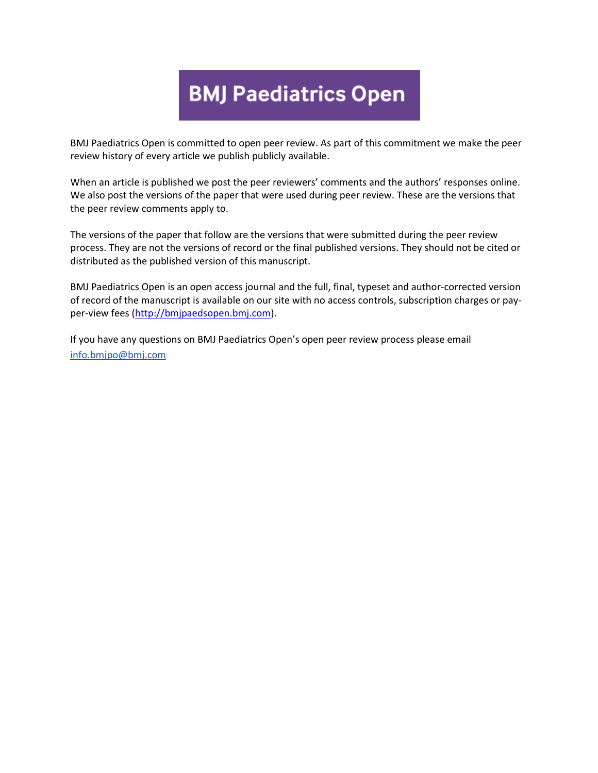# **BMJ Paediatrics Open**

BMJ Paediatrics Open is committed to open peer review. As part of this commitment we make the peer review history of every article we publish publicly available.

When an article is published we post the peer reviewers' comments and the authors' responses online. We also post the versions of the paper that were used during peer review. These are the versions that the peer review comments apply to.

The versions of the paper that follow are the versions that were submitted during the peer review process. They are not the versions of record or the final published versions. They should not be cited or distributed as the published version of this manuscript.

BMJ Paediatrics Open is an open access journal and the full, final, typeset and author-corrected version of record of the manuscript is available on our site with no access controls, subscription charges or payper-view fees [\(http://bmjpaedsopen.bmj.com\)](http://bmjpaedsopen.bmj.com/).

If you have any questions on BMJ Paediatrics Open's open peer review process please email [info.bmjpo@bmj.com](mailto:info.bmjpo@bmj.com)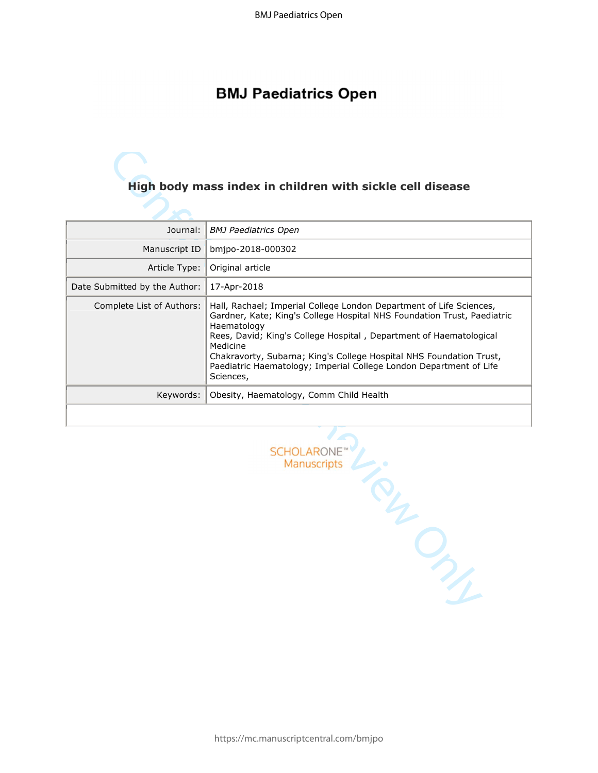# **BMJ Paediatrics Open**

| High body mass index in children with sickle cell disease |                                                                                                                                                                                                                                                                                                                                                                                                           |  |
|-----------------------------------------------------------|-----------------------------------------------------------------------------------------------------------------------------------------------------------------------------------------------------------------------------------------------------------------------------------------------------------------------------------------------------------------------------------------------------------|--|
|                                                           |                                                                                                                                                                                                                                                                                                                                                                                                           |  |
| Journal:                                                  | <b>BMJ Paediatrics Open</b>                                                                                                                                                                                                                                                                                                                                                                               |  |
| Manuscript ID                                             | bmjpo-2018-000302                                                                                                                                                                                                                                                                                                                                                                                         |  |
| Article Type:                                             | Original article                                                                                                                                                                                                                                                                                                                                                                                          |  |
| Date Submitted by the Author:                             | 17-Apr-2018                                                                                                                                                                                                                                                                                                                                                                                               |  |
| Complete List of Authors:                                 | Hall, Rachael; Imperial College London Department of Life Sciences,<br>Gardner, Kate; King's College Hospital NHS Foundation Trust, Paediatric<br>Haematology<br>Rees, David; King's College Hospital, Department of Haematological<br>Medicine<br>Chakravorty, Subarna; King's College Hospital NHS Foundation Trust,<br>Paediatric Haematology; Imperial College London Department of Life<br>Sciences, |  |
| Keywords:                                                 | Obesity, Haematology, Comm Child Health                                                                                                                                                                                                                                                                                                                                                                   |  |
|                                                           |                                                                                                                                                                                                                                                                                                                                                                                                           |  |
|                                                           | <b>SCHOLARONE</b><br>Manuscripts<br>TOL,<br>$\mathcal{P}_{\mathcal{F}_{\mathcal{F}}}$                                                                                                                                                                                                                                                                                                                     |  |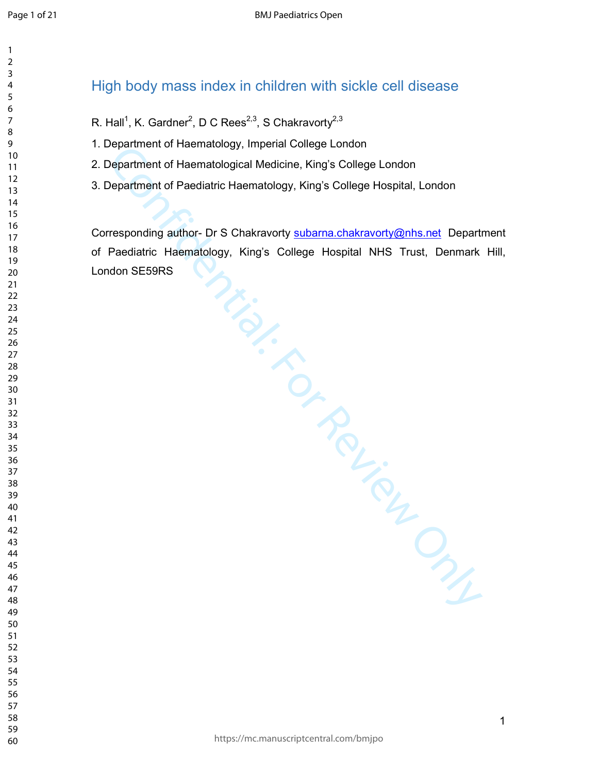# High body mass index in children with sickle cell disease

- R. Hall<sup>1</sup>, K. Gardner<sup>2</sup>, D C Rees<sup>2,3</sup>, S Chakravorty<sup>2,3</sup>
- 1. Department of Haematology, Imperial College London
- 2. Department of Haematological Medicine, King's College London
- 3. Department of Paediatric Haematology, King's College Hospital, London

Department of Haematological Medicine, King's College London<br>
Department of Haematological Medicine, King's College Hospital, London<br>
Pepartment of Paediatric Haematology, King's College Hospital, NHS Trust, Department<br>
Pa Corresponding author- Dr S Chakravorty subarna.chakravorty@nhs.net Department of Paediatric Haematology, King's College Hospital NHS Trust, Denmark Hill, London SE59RS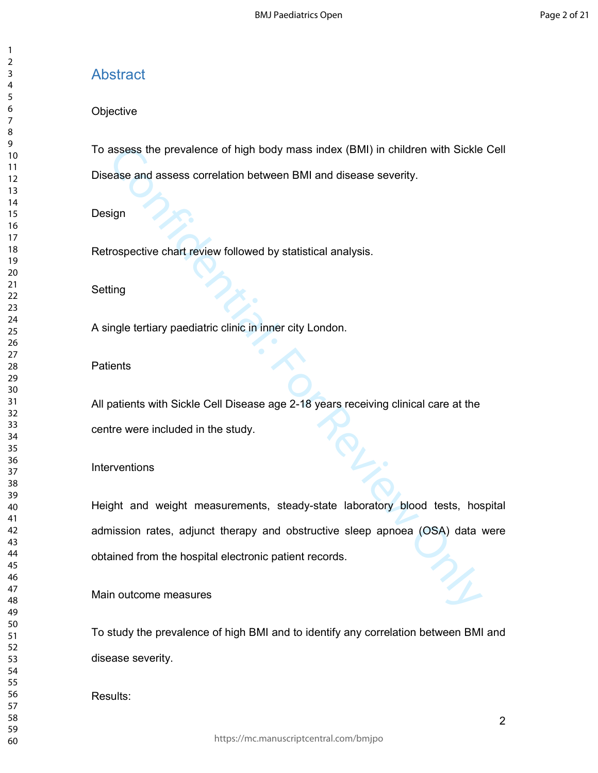# Abstract

#### **Objective**

To assess the prevalence of high body mass index (BMI) in children with Sickle Cell Disease and assess correlation between BMI and disease severity.

Design

Retrospective chart review followed by statistical analysis.

#### Setting

A single tertiary paediatric clinic in inner city London.

#### **Patients**

All patients with Sickle Cell Disease age 2-18 years receiving clinical care at the centre were included in the study.

#### Interventions

assess the prevalence of high body mass index (BMI) in children with Sickle<br>ease and assess correlation between BMI and disease severity.<br>
sign<br>
rospective chart review followed by statistical analysis.<br>
ling<br>
ing<br>
ingle t Height and weight measurements, steady-state laboratory blood tests, hospital admission rates, adjunct therapy and obstructive sleep apnoea (OSA) data were obtained from the hospital electronic patient records.

Main outcome measures

To study the prevalence of high BMI and to identify any correlation between BMI and disease severity.

Results: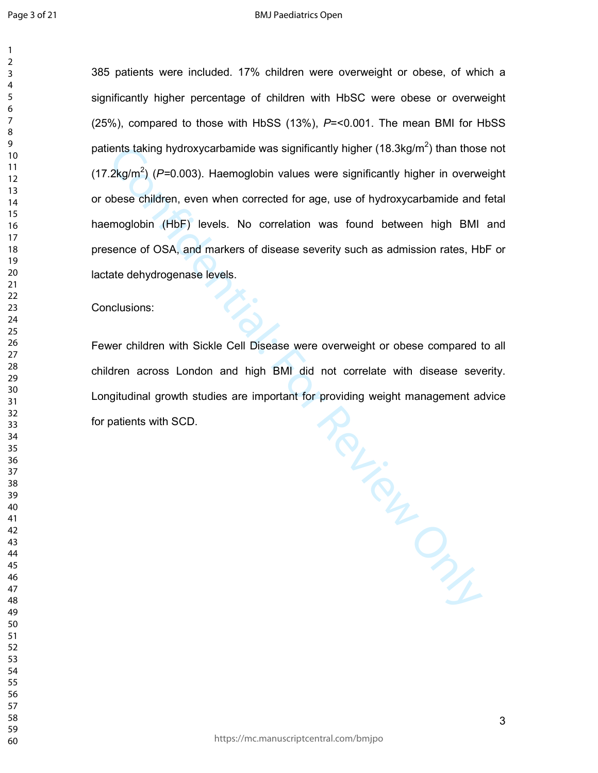#### BMJ Paediatrics Open

> 

385 patients were included. 17% children were overweight or obese, of which a significantly higher percentage of children with HbSC were obese or overweight (25%), compared to those with HbSS (13%), *P*=<0.001. The mean BMI for HbSS patients taking hydroxycarbamide was significantly higher (18.3kg/m<sup>2</sup>) than those not (17.2kg/m<sup>2</sup> ) (*P=*0.003). Haemoglobin values were significantly higher in overweight or obese children, even when corrected for age, use of hydroxycarbamide and fetal haemoglobin (HbF) levels. No correlation was found between high BMI and presence of OSA, and markers of disease severity such as admission rates, HbF or lactate dehydrogenase levels.

Conclusions:

Review Only Fewer children with Sickle Cell Disease were overweight or obese compared to all children across London and high BMI did not correlate with disease severity. Longitudinal growth studies are important for providing weight management advice for patients with SCD.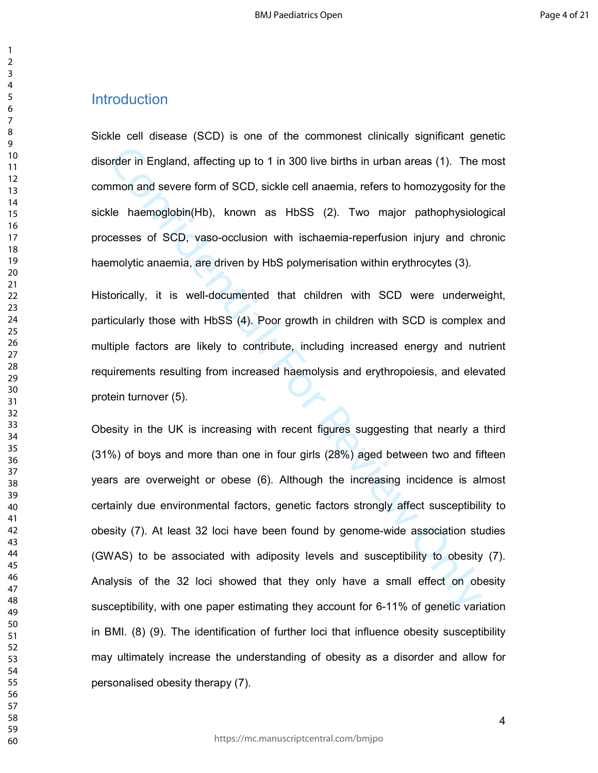# Introduction

Sickle cell disease (SCD) is one of the commonest clinically significant genetic disorder in England, affecting up to 1 in 300 live births in urban areas (1). The most common and severe form of SCD, sickle cell anaemia, refers to homozygosity for the sickle haemoglobin(Hb), known as HbSS (2). Two major pathophysiological processes of SCD, vaso-occlusion with ischaemia-reperfusion injury and chronic haemolytic anaemia, are driven by HbS polymerisation within erythrocytes (3).

Historically, it is well-documented that children with SCD were underweight, particularly those with HbSS (4). Poor growth in children with SCD is complex and multiple factors are likely to contribute, including increased energy and nutrient requirements resulting from increased haemolysis and erythropoiesis, and elevated protein turnover (5).

profer in England, affecting up to 1 in 300 live births in urban areas (1). The inmon and severe form of SCD, sickle cell anaemia, refers to homozygosity fole haemoglobin(Hb), known as HbSS (2). Two major pathophysiolo ces Obesity in the UK is increasing with recent figures suggesting that nearly a third (31%) of boys and more than one in four girls (28%) aged between two and fifteen years are overweight or obese (6). Although the increasing incidence is almost certainly due environmental factors, genetic factors strongly affect susceptibility to obesity (7). At least 32 loci have been found by genome-wide association studies (GWAS) to be associated with adiposity levels and susceptibility to obesity (7). Analysis of the 32 loci showed that they only have a small effect on obesity susceptibility, with one paper estimating they account for 6-11% of genetic variation in BMI. (8) (9). The identification of further loci that influence obesity susceptibility may ultimately increase the understanding of obesity as a disorder and allow for personalised obesity therapy (7).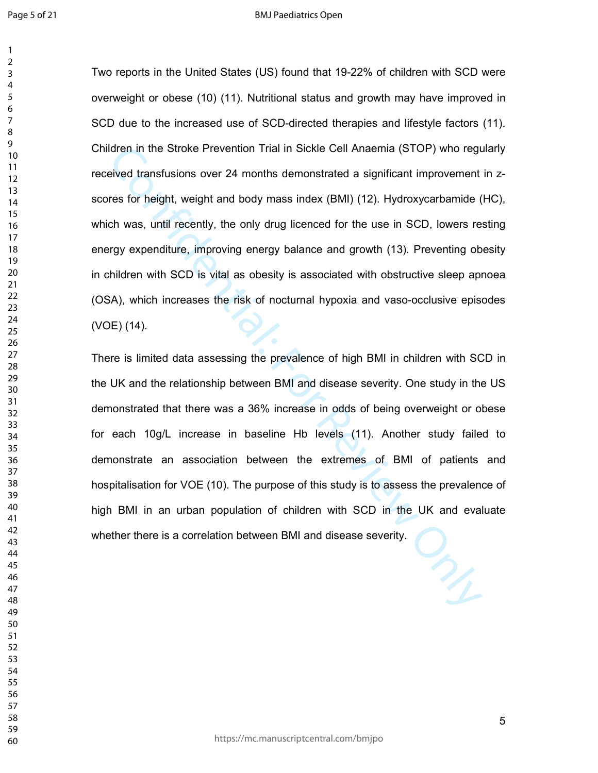Idren in the Stroke Prevention Trial in Sickle Cell Anaemia (STOP) who reguived transfusions over 24 months demonstrated a significant improvement<br>res for height, weight and body mass index (BMI) (12). Hydroxycarbamide (ch Two reports in the United States (US) found that 19-22% of children with SCD were overweight or obese (10) (11). Nutritional status and growth may have improved in SCD due to the increased use of SCD-directed therapies and lifestyle factors (11). Children in the Stroke Prevention Trial in Sickle Cell Anaemia (STOP) who regularly received transfusions over 24 months demonstrated a significant improvement in zscores for height, weight and body mass index (BMI) (12). Hydroxycarbamide (HC), which was, until recently, the only drug licenced for the use in SCD, lowers resting energy expenditure, improving energy balance and growth (13). Preventing obesity in children with SCD is vital as obesity is associated with obstructive sleep apnoea (OSA), which increases the risk of nocturnal hypoxia and vaso-occlusive episodes (VOE) (14).

There is limited data assessing the prevalence of high BMI in children with SCD in the UK and the relationship between BMI and disease severity. One study in the US demonstrated that there was a 36% increase in odds of being overweight or obese for each 10g/L increase in baseline Hb levels (11). Another study failed to demonstrate an association between the extremes of BMI of patients and hospitalisation for VOE (10). The purpose of this study is to assess the prevalence of high BMI in an urban population of children with SCD in the UK and evaluate whether there is a correlation between BMI and disease severity.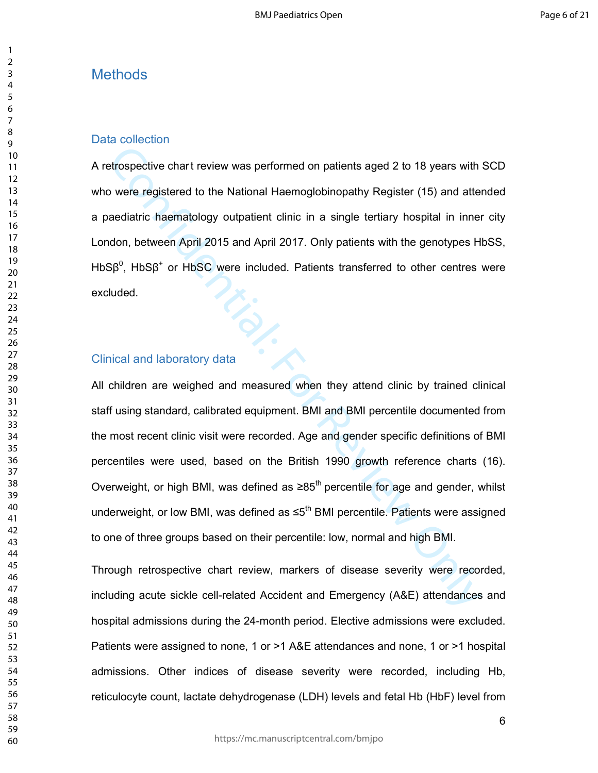# **Methods**

#### Data collection

A retrospective chart review was performed on patients aged 2 to 18 years with SCD who were registered to the National Haemoglobinopathy Register (15) and attended a paediatric haematology outpatient clinic in a single tertiary hospital in inner city London, between April 2015 and April 2017. Only patients with the genotypes HbSS, HbS $\beta^0$ , HbS $\beta^+$  or HbSC were included. Patients transferred to other centres were excluded. excluded.<br>Clinical and laboratory data

etrospective chart review was performed on patients aged 2 to 18 years with<br>ouvere registered to the National Haemoglobinopathy Register (15) and atter<br>aediatric haematology outpatient clinic in a single tertiary hospital All children are weighed and measured when they attend clinic by trained clinical staff using standard, calibrated equipment. BMI and BMI percentile documented from the most recent clinic visit were recorded. Age and gender specific definitions of BMI percentiles were used, based on the British 1990 growth reference charts (16). Overweight, or high BMI, was defined as  $≥85<sup>th</sup>$  percentile for age and gender, whilst underweight, or low BMI, was defined as ≤5<sup>th</sup> BMI percentile. Patients were assigned to one of three groups based on their percentile: low, normal and high BMI.

Through retrospective chart review, markers of disease severity were recorded, including acute sickle cell-related Accident and Emergency (A&E) attendances and hospital admissions during the 24-month period. Elective admissions were excluded. Patients were assigned to none, 1 or >1 A&E attendances and none, 1 or >1 hospital admissions. Other indices of disease severity were recorded, including Hb, reticulocyte count, lactate dehydrogenase (LDH) levels and fetal Hb (HbF) level from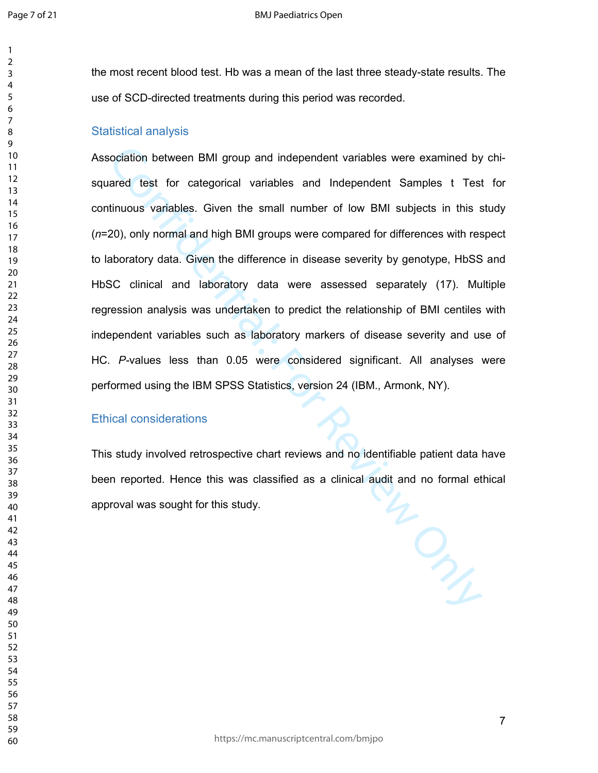the most recent blood test. Hb was a mean of the last three steady-state results. The use of SCD-directed treatments during this period was recorded.

#### Statistical analysis

cociation between BMI group and independent variables were examined by<br>ared test for categorical variables and Independent Samples t Test<br>tinuous variables. Given the small number of low BMI subjects in this s<br>20), only no Association between BMI group and independent variables were examined by chisquared test for categorical variables and Independent Samples t Test for continuous variables. Given the small number of low BMI subjects in this study (*n*=20), only normal and high BMI groups were compared for differences with respect to laboratory data. Given the difference in disease severity by genotype, HbSS and HbSC clinical and laboratory data were assessed separately (17). Multiple regression analysis was undertaken to predict the relationship of BMI centiles with independent variables such as laboratory markers of disease severity and use of HC. *P-*values less than 0.05 were considered significant. All analyses were performed using the IBM SPSS Statistics, version 24 (IBM., Armonk, NY).

#### Ethical considerations

This study involved retrospective chart reviews and no identifiable patient data have been reported. Hence this was classified as a clinical audit and no formal ethical approval was sought for this study.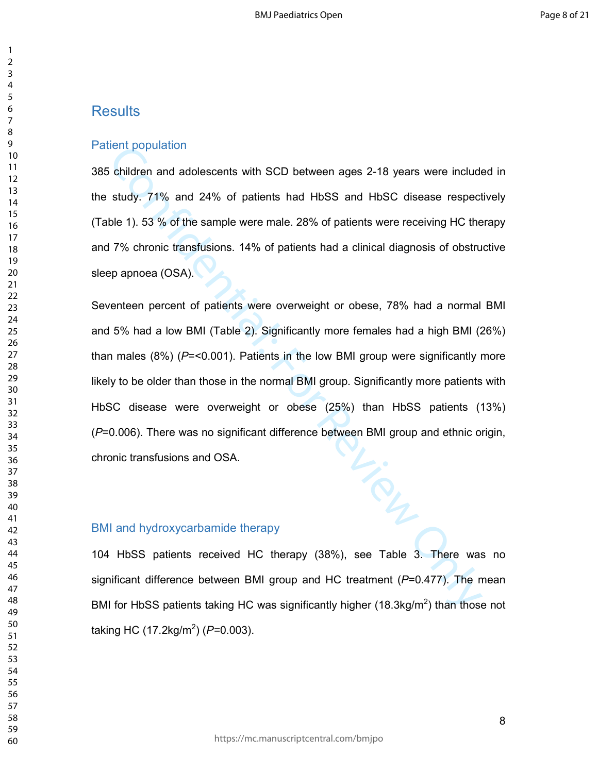# **Results**

#### Patient population

385 children and adolescents with SCD between ages 2-18 years were included in the study. 71% and 24% of patients had HbSS and HbSC disease respectively (Table 1). 53 % of the sample were male. 28% of patients were receiving HC therapy and 7% chronic transfusions. 14% of patients had a clinical diagnosis of obstructive sleep apnoea (OSA).

ient population<br>
schildren and adolescents with SCD between ages 2-18 years were include<br>
study. 71% and 24% of patients had HbSS and HbSC disease respect<br>
ble 1). 53 % of the sample were male. 28% of patients were receivi Seventeen percent of patients were overweight or obese, 78% had a normal BMI and 5% had a low BMI (Table 2). Significantly more females had a high BMI (26%) than males (8%) (*P*=<0.001). Patients in the low BMI group were significantly more likely to be older than those in the normal BMI group. Significantly more patients with HbSC disease were overweight or obese (25%) than HbSS patients (13%) (*P*=0.006). There was no significant difference between BMI group and ethnic origin, chronic transfusions and OSA.

#### BMI and hydroxycarbamide therapy

104 HbSS patients received HC therapy (38%), see Table 3. There was no significant difference between BMI group and HC treatment (*P*=0.477). The mean BMI for HbSS patients taking HC was significantly higher (18.3kg/m<sup>2</sup>) than those not taking HC (17.2kg/m<sup>2</sup> ) (*P=*0.003).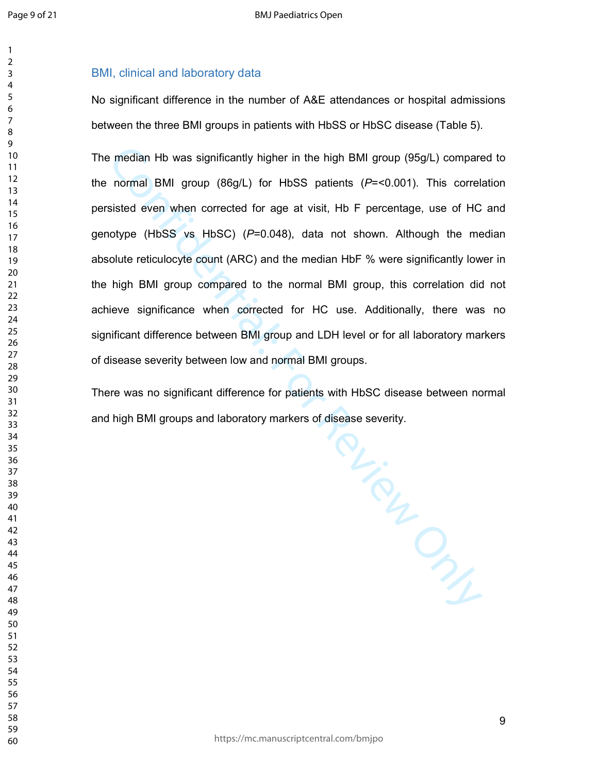## BMI, clinical and laboratory data

No significant difference in the number of A&E attendances or hospital admissions between the three BMI groups in patients with HbSS or HbSC disease (Table 5).

The median Hb was significantly higher in the high BMI group (95g/L) compared to the normal BMI group (86g/L) for HbSS patients (*P*=<0.001). This correlation persisted even when corrected for age at visit, Hb F percentage, use of HC and genotype (HbSS vs HbSC) (*P*=0.048), data not shown. Although the median absolute reticulocyte count (ARC) and the median HbF % were significantly lower in the high BMI group compared to the normal BMI group, this correlation did not achieve significance when corrected for HC use. Additionally, there was no significant difference between BMI group and LDH level or for all laboratory markers of disease severity between low and normal BMI groups.

TOLIC TONIE There was no significant difference for patients with HbSC disease between normal and high BMI groups and laboratory markers of disease severity.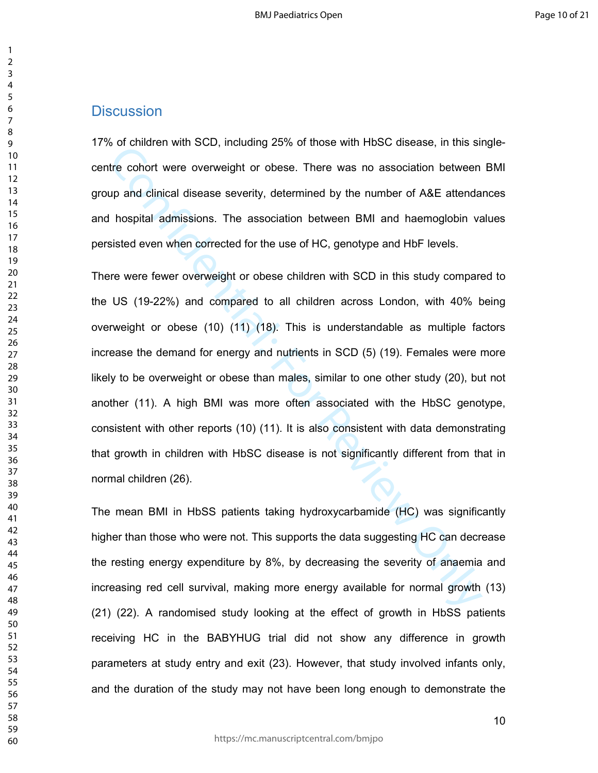### **Discussion**

17% of children with SCD, including 25% of those with HbSC disease, in this singlecentre cohort were overweight or obese. There was no association between BMI group and clinical disease severity, determined by the number of A&E attendances and hospital admissions. The association between BMI and haemoglobin values persisted even when corrected for the use of HC, genotype and HbF levels.

of those win hose win hose win hose that is sure. The state of the state of the state confident wind occurs are the second the pup and clinical disease severity, determined by the number of A&E attenda hospital admissions. There were fewer overweight or obese children with SCD in this study compared to the US (19-22%) and compared to all children across London, with 40% being overweight or obese (10) (11) (18). This is understandable as multiple factors increase the demand for energy and nutrients in SCD (5) (19). Females were more likely to be overweight or obese than males, similar to one other study (20), but not another (11). A high BMI was more often associated with the HbSC genotype, consistent with other reports (10) (11). It is also consistent with data demonstrating that growth in children with HbSC disease is not significantly different from that in normal children (26).

The mean BMI in HbSS patients taking hydroxycarbamide (HC) was significantly higher than those who were not. This supports the data suggesting HC can decrease the resting energy expenditure by 8%, by decreasing the severity of anaemia and increasing red cell survival, making more energy available for normal growth (13) (21) (22). A randomised study looking at the effect of growth in HbSS patients receiving HC in the BABYHUG trial did not show any difference in growth parameters at study entry and exit (23). However, that study involved infants only, and the duration of the study may not have been long enough to demonstrate the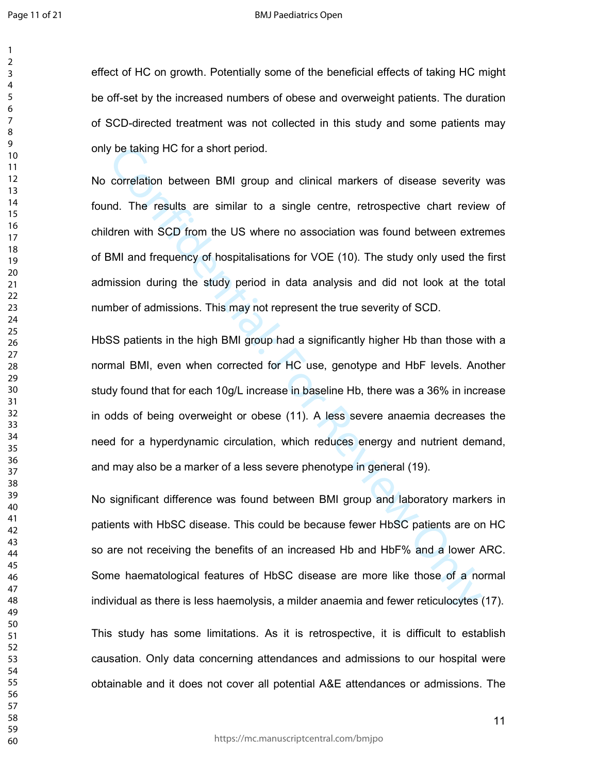#### BMJ Paediatrics Open

effect of HC on growth. Potentially some of the beneficial effects of taking HC might be off-set by the increased numbers of obese and overweight patients. The duration of SCD-directed treatment was not collected in this study and some patients may only be taking HC for a short period.

be taking HC for a short period.<br>
correlation between BMI group and clinical markers of disease severity<br>
nd. The results are similar to a single centre, retrospective chart review<br>
dren with SCD from the US where no assoc No correlation between BMI group and clinical markers of disease severity was found. The results are similar to a single centre, retrospective chart review of children with SCD from the US where no association was found between extremes of BMI and frequency of hospitalisations for VOE (10). The study only used the first admission during the study period in data analysis and did not look at the total number of admissions. This may not represent the true severity of SCD.

HbSS patients in the high BMI group had a significantly higher Hb than those with a normal BMI, even when corrected for HC use, genotype and HbF levels. Another study found that for each 10g/L increase in baseline Hb, there was a 36% in increase in odds of being overweight or obese (11). A less severe anaemia decreases the need for a hyperdynamic circulation, which reduces energy and nutrient demand, and may also be a marker of a less severe phenotype in general (19).

No significant difference was found between BMI group and laboratory markers in patients with HbSC disease. This could be because fewer HbSC patients are on HC so are not receiving the benefits of an increased Hb and HbF% and a lower ARC. Some haematological features of HbSC disease are more like those of a normal individual as there is less haemolysis, a milder anaemia and fewer reticulocytes (17).

This study has some limitations. As it is retrospective, it is difficult to establish causation. Only data concerning attendances and admissions to our hospital were obtainable and it does not cover all potential A&E attendances or admissions. The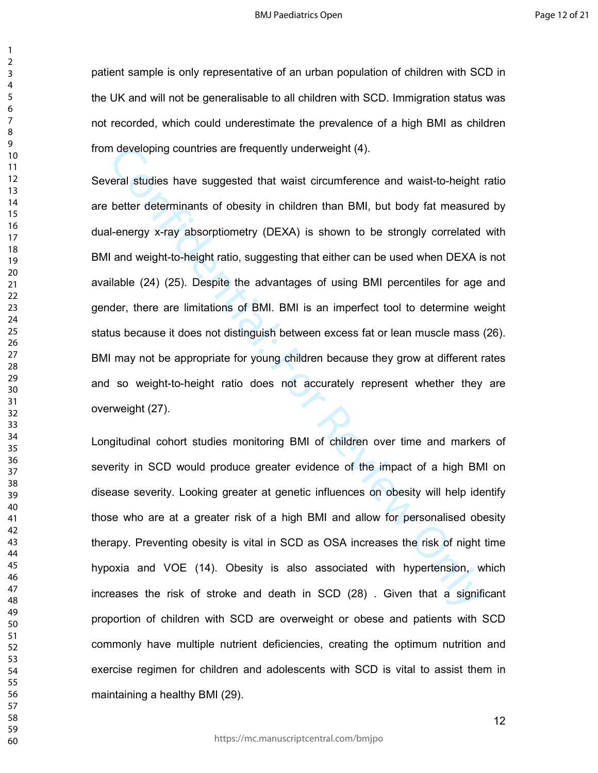patient sample is only representative of an urban population of children with SCD in the UK and will not be generalisable to all children with SCD. Immigration status was not recorded, which could underestimate the prevalence of a high BMI as children from developing countries are frequently underweight (4).

In developing countries are frequently underweight (4).<br>
Interal studies have suggested that waist circumference and waist-to-height<br>
better determinants of obesity in children than BMI, but body fat measure<br>
Il-energy x-r Several studies have suggested that waist circumference and waist-to-height ratio are better determinants of obesity in children than BMI, but body fat measured by dual-energy x-ray absorptiometry (DEXA) is shown to be strongly correlated with BMI and weight-to-height ratio, suggesting that either can be used when DEXA is not available (24) (25). Despite the advantages of using BMI percentiles for age and gender, there are limitations of BMI. BMI is an imperfect tool to determine weight status because it does not distinguish between excess fat or lean muscle mass (26). BMI may not be appropriate for young children because they grow at different rates and so weight-to-height ratio does not accurately represent whether they are overweight (27).

Longitudinal cohort studies monitoring BMI of children over time and markers of severity in SCD would produce greater evidence of the impact of a high BMI on disease severity. Looking greater at genetic influences on obesity will help identify those who are at a greater risk of a high BMI and allow for personalised obesity therapy. Preventing obesity is vital in SCD as OSA increases the risk of night time hypoxia and VOE (14). Obesity is also associated with hypertension, which increases the risk of stroke and death in SCD (28) . Given that a significant proportion of children with SCD are overweight or obese and patients with SCD commonly have multiple nutrient deficiencies, creating the optimum nutrition and exercise regimen for children and adolescents with SCD is vital to assist them in maintaining a healthy BMI (29).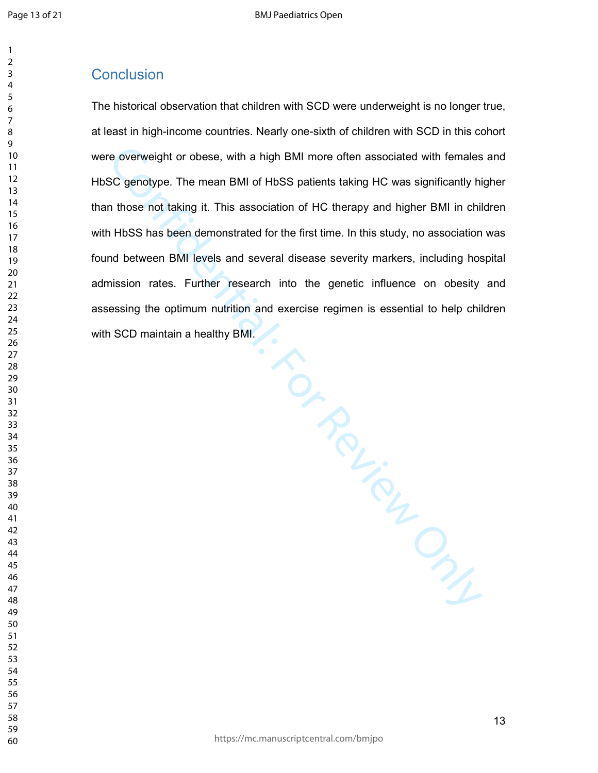# **Conclusion**

sh . and exercise. The historical observation that children with SCD were underweight is no longer true, at least in high-income countries. Nearly one-sixth of children with SCD in this cohort were overweight or obese, with a high BMI more often associated with females and HbSC genotype. The mean BMI of HbSS patients taking HC was significantly higher than those not taking it. This association of HC therapy and higher BMI in children with HbSS has been demonstrated for the first time. In this study, no association was found between BMI levels and several disease severity markers, including hospital admission rates. Further research into the genetic influence on obesity and assessing the optimum nutrition and exercise regimen is essential to help children with SCD maintain a healthy BMI.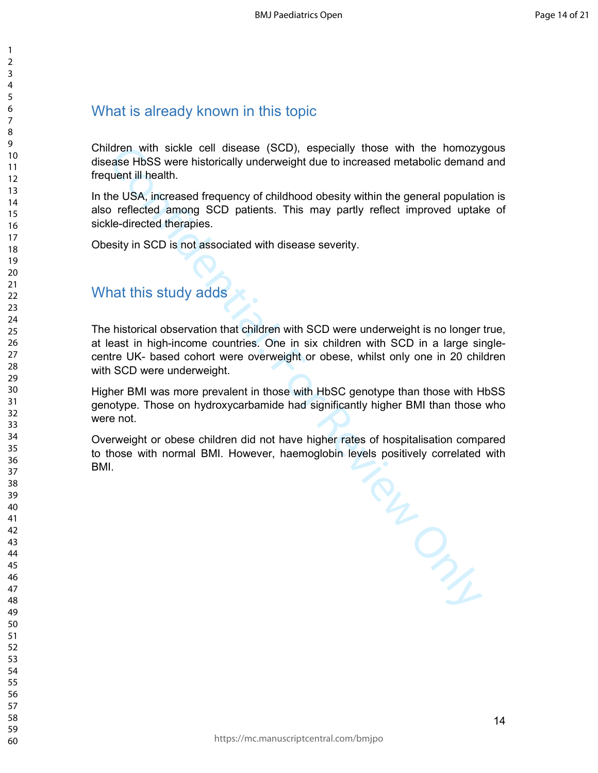# What is already known in this topic

Children with sickle cell disease (SCD), especially those with the homozygous disease HbSS were historically underweight due to increased metabolic demand and frequent ill health.

In the USA, increased frequency of childhood obesity within the general population is also reflected among SCD patients. This may partly reflect improved uptake of sickle-directed therapies.

Obesity in SCD is not associated with disease severity.

# What this study adds

The historical observation that children with SCD were underweight is no longer true, at least in high-income countries. One in six children with SCD in a large singlecentre UK- based cohort were overweight or obese, whilst only one in 20 children with SCD were underweight.

Higher BMI was more prevalent in those with HbSC genotype than those with HbSS genotype. Those on hydroxycarbamide had significantly higher BMI than those who were not.

Overweight or obese children did not have higher rates of hospitalisation compared to those with normal BMI. However, haemoglobin levels positively correlated with BMI.

Confidential: For Review Only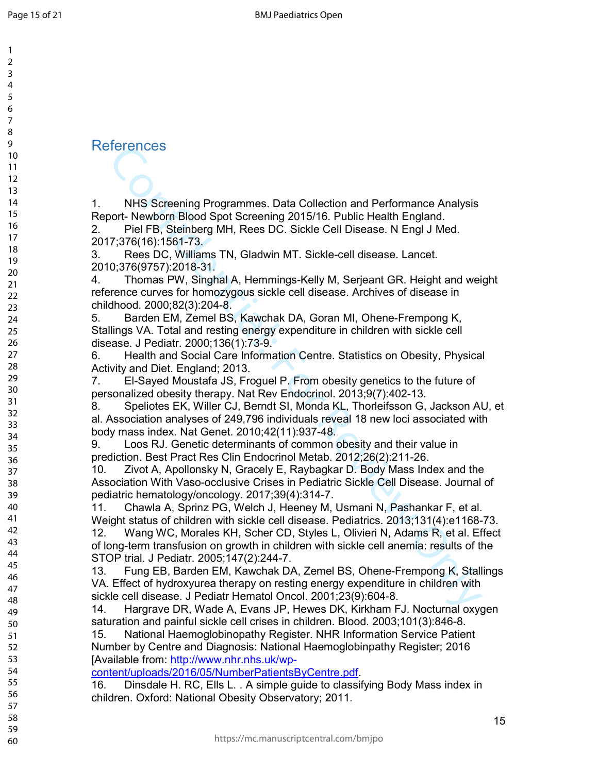References

1. NHS Screening Programmes. Data Collection and Performance Analysis Report- Newborn Blood Spot Screening 2015/16. Public Health England.

2. Piel FB, Steinberg MH, Rees DC. Sickle Cell Disease. N Engl J Med. 2017;376(16):1561-73.

3. Rees DC, Williams TN, Gladwin MT. Sickle-cell disease. Lancet. 2010;376(9757):2018-31.

4. Thomas PW, Singhal A, Hemmings-Kelly M, Serjeant GR. Height and weight reference curves for homozygous sickle cell disease. Archives of disease in childhood. 2000;82(3):204-8.

5. Barden EM, Zemel BS, Kawchak DA, Goran MI, Ohene-Frempong K, Stallings VA. Total and resting energy expenditure in children with sickle cell disease. J Pediatr. 2000;136(1):73-9.

6. Health and Social Care Information Centre. Statistics on Obesity, Physical Activity and Diet. England; 2013.

7. El-Sayed Moustafa JS, Froguel P. From obesity genetics to the future of personalized obesity therapy. Nat Rev Endocrinol. 2013;9(7):402-13.

Terfencess<br>
NHS Screening Programmes. Data Collection and Performance Analysis<br>
NHS Screening Dod Spot Screening 2015/16. Public Health England.<br>
Piel FB, Steinberg MH, Rees DC. Sickle Cell Disease. N Engl J Med.<br>
Newtom B 8. Speliotes EK, Willer CJ, Berndt SI, Monda KL, Thorleifsson G, Jackson AU, et al. Association analyses of 249,796 individuals reveal 18 new loci associated with body mass index. Nat Genet. 2010;42(11):937-48.

9. Loos RJ. Genetic determinants of common obesity and their value in prediction. Best Pract Res Clin Endocrinol Metab. 2012;26(2):211-26.

10. Zivot A, Apollonsky N, Gracely E, Raybagkar D. Body Mass Index and the Association With Vaso-occlusive Crises in Pediatric Sickle Cell Disease. Journal of pediatric hematology/oncology. 2017;39(4):314-7.

11. Chawla A, Sprinz PG, Welch J, Heeney M, Usmani N, Pashankar F, et al. Weight status of children with sickle cell disease. Pediatrics. 2013;131(4):e1168-73.

12. Wang WC, Morales KH, Scher CD, Styles L, Olivieri N, Adams R, et al. Effect of long-term transfusion on growth in children with sickle cell anemia: results of the STOP trial. J Pediatr. 2005;147(2):244-7.

13. Fung EB, Barden EM, Kawchak DA, Zemel BS, Ohene-Frempong K, Stallings VA. Effect of hydroxyurea therapy on resting energy expenditure in children with sickle cell disease. J Pediatr Hematol Oncol. 2001;23(9):604-8.

14. Hargrave DR, Wade A, Evans JP, Hewes DK, Kirkham FJ. Nocturnal oxygen saturation and painful sickle cell crises in children. Blood. 2003;101(3):846-8.

15. National Haemoglobinopathy Register. NHR Information Service Patient Number by Centre and Diagnosis: National Haemoglobinpathy Register; 2016 [Available from: http://www.nhr.nhs.uk/wp-

content/uploads/2016/05/NumberPatientsByCentre.pdf.

16. Dinsdale H. RC, Ells L. . A simple guide to classifying Body Mass index in children. Oxford: National Obesity Observatory; 2011.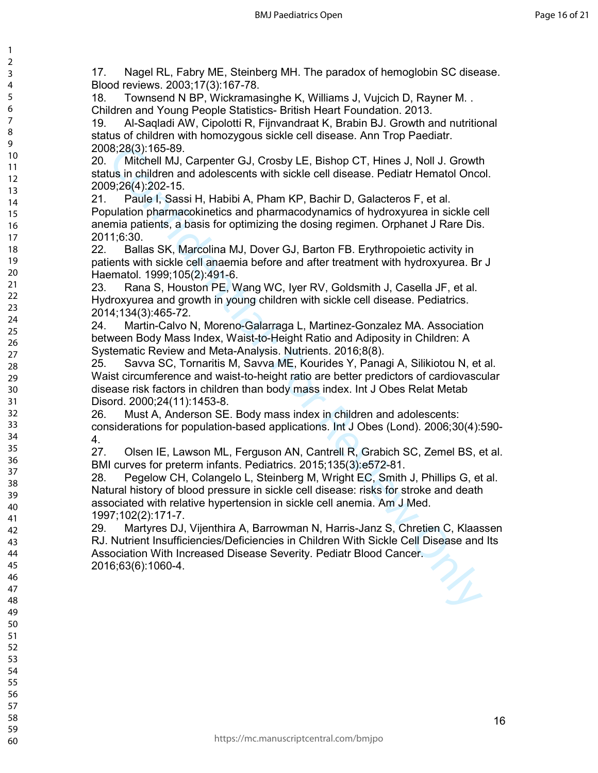17. Nagel RL, Fabry ME, Steinberg MH. The paradox of hemoglobin SC disease. Blood reviews. 2003;17(3):167-78.

18. Townsend N BP, Wickramasinghe K, Williams J, Vujcich D, Rayner M. . Children and Young People Statistics- British Heart Foundation. 2013.

19. Al-Saqladi AW, Cipolotti R, Fijnvandraat K, Brabin BJ. Growth and nutritional status of children with homozygous sickle cell disease. Ann Trop Paediatr. 2008;28(3):165-89.

20. Mitchell MJ, Carpenter GJ, Crosby LE, Bishop CT, Hines J, Noll J. Growth status in children and adolescents with sickle cell disease. Pediatr Hematol Oncol. 2009;26(4):202-15.

21. Paule I, Sassi H, Habibi A, Pham KP, Bachir D, Galacteros F, et al. Population pharmacokinetics and pharmacodynamics of hydroxyurea in sickle cell anemia patients, a basis for optimizing the dosing regimen. Orphanet J Rare Dis. 2011;6:30.

22. Ballas SK, Marcolina MJ, Dover GJ, Barton FB. Erythropoietic activity in patients with sickle cell anaemia before and after treatment with hydroxyurea. Br J Haematol. 1999;105(2):491-6.

23. Rana S, Houston PE, Wang WC, Iyer RV, Goldsmith J, Casella JF, et al. Hydroxyurea and growth in young children with sickle cell disease. Pediatrics. 2014;134(3):465-72.

24. Martin-Calvo N, Moreno-Galarraga L, Martinez-Gonzalez MA. Association between Body Mass Index, Waist-to-Height Ratio and Adiposity in Children: A Systematic Review and Meta-Analysis. Nutrients. 2016;8(8).

25. Savva SC, Tornaritis M, Savva ME, Kourides Y, Panagi A, Silikiotou N, et al. Waist circumference and waist-to-height ratio are better predictors of cardiovascular disease risk factors in children than body mass index. Int J Obes Relat Metab Disord. 2000;24(11):1453-8.

26. Must A, Anderson SE. Body mass index in children and adolescents: considerations for population-based applications. Int J Obes (Lond). 2006;30(4):590- 4.

27. Olsen IE, Lawson ML, Ferguson AN, Cantrell R, Grabich SC, Zemel BS, et al. BMI curves for preterm infants. Pediatrics. 2015;135(3):e572-81.

is 2(3): f65-89.<br>
Mitchell MJ, Carpenter GJ, Crosby LE, Bishop CT, Hines J, Noll J. Growthosin children and adolescents with sickle cell disease. Pediatr Hematol Oncors, P, 269, 2(4):202-15.<br>
Paule I, Sassi H, Habibi A, Ph 28. Pegelow CH, Colangelo L, Steinberg M, Wright EC, Smith J, Phillips G, et al. Natural history of blood pressure in sickle cell disease: risks for stroke and death associated with relative hypertension in sickle cell anemia. Am J Med. 1997;102(2):171-7.

29. Martyres DJ, Vijenthira A, Barrowman N, Harris-Janz S, Chretien C, Klaassen RJ. Nutrient Insufficiencies/Deficiencies in Children With Sickle Cell Disease and Its Association With Increased Disease Severity. Pediatr Blood Cancer. 2016;63(6):1060-4.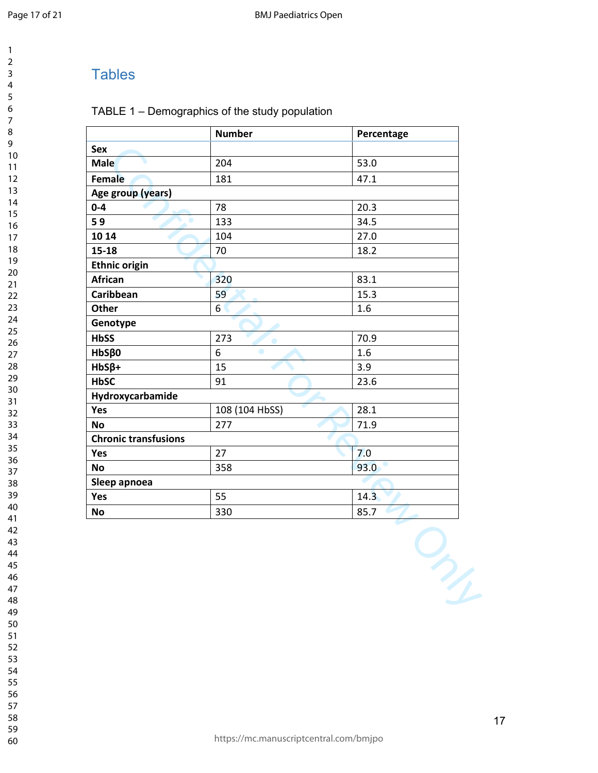# **Tables**

#### TABLE 1 – Demographics of the study population

|                             | <b>Number</b>  | Percentage |
|-----------------------------|----------------|------------|
| Sex                         |                |            |
| <b>Male</b>                 | 204            | 53.0       |
| Female                      | 181            | 47.1       |
| Age group (years)           |                |            |
| $0-4$                       | 78             | 20.3       |
| 59<br>۰                     | 133            | 34.5       |
| 10 14                       | 104            | 27.0       |
| $15 - 18$                   | 70             | 18.2       |
| <b>Ethnic origin</b>        |                |            |
| African                     | 320            | 83.1       |
| Caribbean                   | 59             | 15.3       |
| Other                       | 6              | $1.6\,$    |
| Genotype                    |                |            |
| <b>HbSS</b>                 | 273            | 70.9       |
| $HbS\beta0$                 | 6<br>۰         | 1.6        |
| $HbS\beta+$                 | 15             | 3.9        |
| <b>HbSC</b>                 | 91             | 23.6       |
| Hydroxycarbamide            |                |            |
| Yes                         | 108 (104 HbSS) | 28.1       |
| <b>No</b>                   | 277            | 71.9       |
| <b>Chronic transfusions</b> |                |            |
| Yes                         | 27             | 7.0        |
| <b>No</b>                   | 358            | 93.0       |
| Sleep apnoea                |                |            |
| Yes                         | 55             | 14.3       |
| <b>No</b>                   | 330            | 85.7       |

- 
- 
- 
- 
- 
-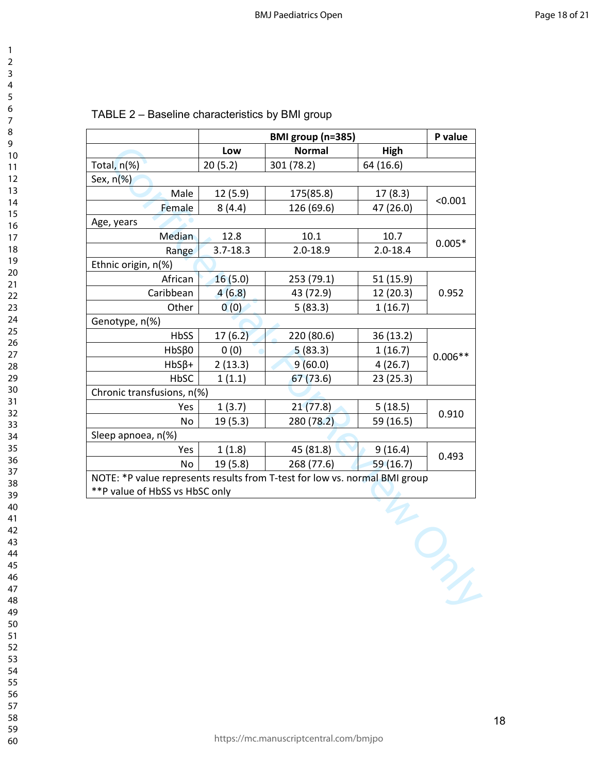| 3                   |  |
|---------------------|--|
| 1                   |  |
| 5<br>ŗ              |  |
|                     |  |
| 6                   |  |
|                     |  |
| 8                   |  |
| 9                   |  |
| 10                  |  |
| 1<br>1              |  |
| 2<br>1              |  |
| 3                   |  |
| 1                   |  |
| 4<br>1              |  |
| 15                  |  |
| 16                  |  |
| $\overline{7}$<br>1 |  |
| 18                  |  |
| 19                  |  |
|                     |  |
| 20                  |  |
| $\overline{21}$     |  |
| $^{22}$             |  |
| 23                  |  |
| 24                  |  |
| 25                  |  |
| 26                  |  |
|                     |  |
| $^{27}$             |  |
| 28                  |  |
| 29                  |  |
| 30                  |  |
| $\overline{31}$     |  |
| 32                  |  |
| 33                  |  |
|                     |  |
| $\frac{34}{5}$      |  |
| 35                  |  |
| 36                  |  |
| 37                  |  |
| 38                  |  |
| 39                  |  |
| ŀ                   |  |
|                     |  |
| 41                  |  |
| 42                  |  |
| 43                  |  |
| 44                  |  |
| 45                  |  |
| 46                  |  |
| 47                  |  |
|                     |  |
| 48                  |  |
| 49                  |  |
| 50                  |  |
| 51                  |  |
| 52                  |  |
| 53                  |  |
| 54                  |  |
|                     |  |
| 55                  |  |
| 56                  |  |
| 57                  |  |
| 58                  |  |

| TABLE 2 – Baseline characteristics by BMI group |  |  |
|-------------------------------------------------|--|--|
|-------------------------------------------------|--|--|

|                                                                            | BMI group (n=385) |               | P value      |                 |
|----------------------------------------------------------------------------|-------------------|---------------|--------------|-----------------|
|                                                                            | Low               | <b>Normal</b> | High         |                 |
| Total, n(%)                                                                | 20(5.2)           | 301 (78.2)    | 64 (16.6)    |                 |
| Sex, $n$ (%)                                                               |                   |               |              |                 |
| Male                                                                       | 12 (5.9)          | 175(85.8)     | 17(8.3)      |                 |
| Female                                                                     | 8(4.4)            | 126 (69.6)    | 47 (26.0)    | < 0.001         |
| Age, years                                                                 |                   |               |              |                 |
| Median                                                                     | 12.8              | 10.1          | 10.7         |                 |
| Range                                                                      | $3.7 - 18.3$      | $2.0 - 18.9$  | $2.0 - 18.4$ | $0.005*$        |
| Ethnic origin, n(%)                                                        |                   |               |              |                 |
| African                                                                    | 16(5.0)           | 253 (79.1)    | 51 (15.9)    |                 |
| Caribbean                                                                  | 4(6.8)            | 43 (72.9)     | 12 (20.3)    | 0.952           |
| Other                                                                      | 0(0)              | 5(83.3)       | 1(16.7)      |                 |
| Genotype, n(%)                                                             |                   |               |              |                 |
| HbSS                                                                       | 17(6.2)           | 220 (80.6)    | 36 (13.2)    |                 |
| $HbS\beta0$                                                                | 0(0)              | 5(83.3)       | 1(16.7)      | $0.006**$       |
| $HbS\beta+$                                                                | 2(13.3)           | 9(60.0)       | 4(26.7)      |                 |
| HbSC                                                                       | 1(1.1)            | 67(73.6)      | 23 (25.3)    |                 |
| Chronic transfusions, n(%)                                                 |                   |               |              |                 |
| Yes                                                                        | 1(3.7)            | 21(77.8)      | 5(18.5)      |                 |
| No                                                                         | 19 (5.3)          | 280 (78.2)    | 59 (16.5)    | 0.910           |
| Sleep apnoea, n(%)                                                         |                   |               |              |                 |
| Yes                                                                        | 1(1.8)            | 45 (81.8)     | 9(16.4)      | 0.493           |
| No                                                                         | 19 (5.8)          | 268 (77.6)    | 59 (16.7)    |                 |
| NOTE: *P value represents results from T-test for low vs. normal BMI group |                   |               |              |                 |
| **P value of HbSS vs HbSC only                                             |                   |               |              |                 |
|                                                                            |                   |               |              |                 |
|                                                                            |                   |               |              |                 |
|                                                                            |                   |               |              |                 |
|                                                                            |                   |               |              |                 |
|                                                                            |                   |               |              |                 |
|                                                                            |                   |               |              | $\mathcal{P}_4$ |
|                                                                            |                   |               |              |                 |
|                                                                            |                   |               |              |                 |
|                                                                            |                   |               |              |                 |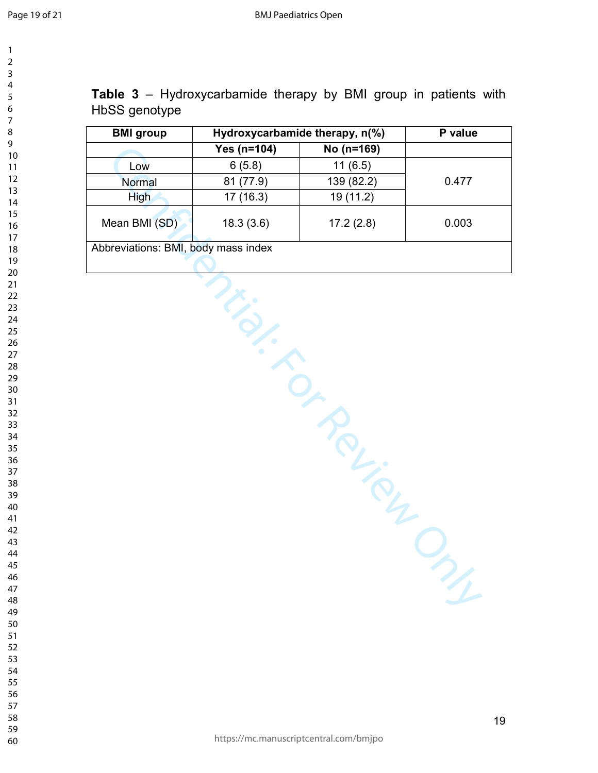| 1                   |
|---------------------|
| 2                   |
| 3                   |
| 4                   |
| 5                   |
| 6                   |
| 7                   |
| 8                   |
| 9                   |
| 10                  |
| 1<br>1              |
| 1<br>$\overline{c}$ |
| 3<br>1              |
| $\overline{14}$     |
| $\overline{15}$     |
| 16                  |
| 7<br>1              |
| 18                  |
| 19                  |
| 20                  |
| $\overline{21}$     |
| $\overline{22}$     |
| $^{23}$             |
| 24                  |
| 25                  |
| 26                  |
| 27                  |
| 28                  |
| 29                  |
| 30                  |
| 31                  |
| 32                  |
| 33                  |
| 34                  |
| 35                  |
| -<br>36             |
| 37                  |
| 38                  |
| 39                  |
| 40                  |
| 41                  |
| 42<br>43            |
| 44                  |
| 45                  |
| 46                  |
| 47                  |
| 48                  |
|                     |

**Table 3** – Hydroxycarbamide therapy by BMI group in patients with HbSS genotype

| <b>BMI</b> group                    | Hydroxycarbamide therapy, n(%) |            | P value |
|-------------------------------------|--------------------------------|------------|---------|
|                                     | Yes $(n=104)$                  | No (n=169) |         |
| Low                                 | 6(5.8)                         | 11(6.5)    |         |
| Normal                              | 81 (77.9)                      | 139 (82.2) | 0.477   |
| <b>High</b>                         | 17 (16.3)                      | 19 (11.2)  |         |
| Mean BMI (SD)                       | 18.3(3.6)                      | 17.2(2.8)  | 0.003   |
| Abbreviations: BMI, body mass index |                                |            |         |
|                                     |                                |            |         |
| I Rough<br>YL.                      |                                |            |         |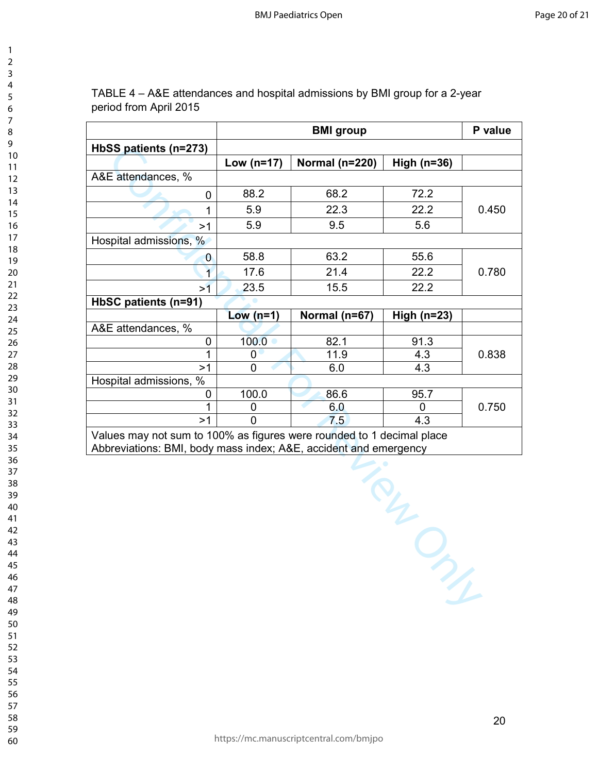| $\overline{ }$                            |  |
|-------------------------------------------|--|
| ξ                                         |  |
| 4                                         |  |
|                                           |  |
| 5                                         |  |
| 6                                         |  |
|                                           |  |
| 8                                         |  |
| 9                                         |  |
| $\overline{10}$                           |  |
|                                           |  |
| 1<br>1                                    |  |
| 1<br>$\overline{c}$                       |  |
| $\overline{\mathbf{3}}$<br>1              |  |
| 1<br>4                                    |  |
| 5<br>1                                    |  |
|                                           |  |
|                                           |  |
|                                           |  |
| 16<br>17<br>18                            |  |
| 19                                        |  |
| $\overline{20}$                           |  |
|                                           |  |
| $\overline{21}$                           |  |
| $\overline{22}$                           |  |
| 23                                        |  |
| $^{24}$                                   |  |
| $\overline{25}$                           |  |
| 26                                        |  |
|                                           |  |
| $^{27}$                                   |  |
| 28                                        |  |
| 29                                        |  |
| 30                                        |  |
| $\overline{31}$                           |  |
| $\overline{\mathbf{3}}$<br>$\overline{c}$ |  |
|                                           |  |
| $\overline{\textbf{3}}$                   |  |
| $\frac{34}{5}$                            |  |
| 35                                        |  |
| 36                                        |  |
| 37                                        |  |
|                                           |  |
| 38                                        |  |
| 39                                        |  |
| 40                                        |  |
| 41                                        |  |
| $\overline{4}$<br>$\overline{c}$          |  |
| 43                                        |  |
|                                           |  |
| 44                                        |  |
| 45<br>5                                   |  |
| 46                                        |  |
| 4                                         |  |
| 48                                        |  |
|                                           |  |
| 49                                        |  |
| 50                                        |  |
| 51                                        |  |
| C<br>,<br>2                               |  |
| C<br>3<br>Ĵ.                              |  |
| C                                         |  |
| 54                                        |  |
| C<br>$\overline{5}$                       |  |
| C<br>56                                   |  |
| l<br>57                                   |  |

TABLE 4 – A&E attendances and hospital admissions by BMI group for a 2-year period from April 2015

|                        | <b>BMI</b> group |                  |               | P value |
|------------------------|------------------|------------------|---------------|---------|
| HbSS patients (n=273)  |                  |                  |               |         |
|                        | Low $(n=17)$     | Normal $(n=220)$ | High $(n=36)$ |         |
| A&E attendances, %     |                  |                  |               |         |
| 0                      | 88.2             | 68.2             | 72.2          |         |
|                        | 5.9              | 22.3             | 22.2          | 0.450   |
| >1                     | 5.9              | 9.5              | 5.6           |         |
| Hospital admissions, % |                  |                  |               |         |
| 0                      | 58.8             | 63.2             | 55.6          |         |
| $\overline{1}$         | 17.6             | 21.4             | 22.2          | 0.780   |
| >1                     | 23.5             | 15.5             | 22.2          |         |
| HbSC patients (n=91)   |                  |                  |               |         |
|                        | Low $(n=1)$      | Normal (n=67)    | High $(n=23)$ |         |
| A&E attendances, %     |                  |                  |               |         |
| 0                      | 100.0            | 82.1             | 91.3          |         |
|                        | 0                | 11.9             | 4.3           | 0.838   |
| >1                     | 0                | 6.0              | 4.3           |         |
| Hospital admissions, % |                  |                  |               |         |
| 0                      | 100.0            | 86.6             | 95.7          |         |
|                        | O                | 6.0              | O             | 0.750   |
| >1                     | 0                | 7.5              | 4.3           |         |

Values may not sum to 100% as figures were rounded to 1 decimal place Abbreviations: BMI, body mass index; A&E, accident and emergency

TRY ONLY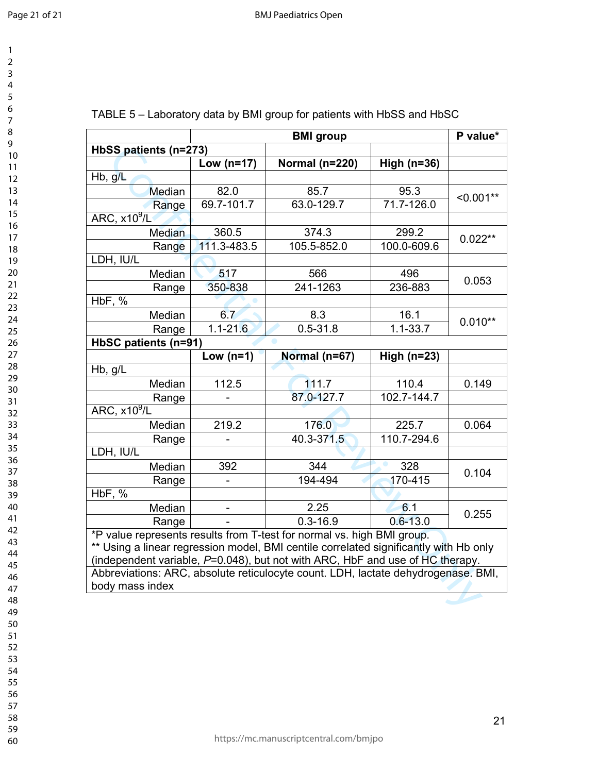| 1<br>$\overline{\mathbf{c}}$                              |  |
|-----------------------------------------------------------|--|
| 3                                                         |  |
|                                                           |  |
|                                                           |  |
|                                                           |  |
|                                                           |  |
|                                                           |  |
|                                                           |  |
|                                                           |  |
|                                                           |  |
|                                                           |  |
|                                                           |  |
|                                                           |  |
|                                                           |  |
|                                                           |  |
|                                                           |  |
|                                                           |  |
|                                                           |  |
|                                                           |  |
|                                                           |  |
|                                                           |  |
|                                                           |  |
|                                                           |  |
|                                                           |  |
|                                                           |  |
| - 456789111111111122222222223.456789111345678901234567890 |  |
|                                                           |  |
|                                                           |  |
| $\overline{\phantom{a}}$                                  |  |
| 32<br>33<br>34<br>35<br>36                                |  |
|                                                           |  |
|                                                           |  |
|                                                           |  |
|                                                           |  |
| $\overline{\mathbf{3}}$<br>$\overline{\bf 8}$             |  |
| 39                                                        |  |
| 40                                                        |  |
| $4^{\degree}$<br>1                                        |  |
| $\overline{4}$<br>,                                       |  |
| 43                                                        |  |
| 44                                                        |  |
| 45                                                        |  |
| 46                                                        |  |
| $\overline{4}$                                            |  |
| 48                                                        |  |
| 49                                                        |  |
| 50                                                        |  |
| ľ<br>$\overline{\mathbf{5}}$<br>1<br>C                    |  |
| $\overline{\mathbf{5}}$<br>,<br>C                         |  |
| $\overline{\mathbf{5}}$<br>54                             |  |
| 55                                                        |  |
|                                                           |  |

| https://mc.manuscriptcentral.com/bmjpo |  |
|----------------------------------------|--|
|----------------------------------------|--|

|  | TABLE 5 – Laboratory data by BMI group for patients with HbSS and HbSC |
|--|------------------------------------------------------------------------|
|--|------------------------------------------------------------------------|

|                                                                                       | <b>BMI</b> group |                                                                        |                 | P value*    |
|---------------------------------------------------------------------------------------|------------------|------------------------------------------------------------------------|-----------------|-------------|
| HbSS patients (n=273)                                                                 |                  |                                                                        |                 |             |
|                                                                                       | Low $(n=17)$     | Normal (n=220)                                                         | High $(n=36)$   |             |
| Hb, g/L                                                                               |                  |                                                                        |                 |             |
| Median                                                                                | 82.0             | 85.7                                                                   | 95.3            |             |
| Range                                                                                 | 69.7-101.7       | 63.0-129.7                                                             | 71.7-126.0      | $< 0.001**$ |
| ARC, $x10^9$ /L                                                                       |                  |                                                                        |                 |             |
| <b>Median</b>                                                                         | 360.5            | 374.3                                                                  | 299.2           |             |
| Range                                                                                 | 111.3-483.5      | 105.5-852.0                                                            | 100.0-609.6     | $0.022**$   |
| LDH, IU/L                                                                             |                  |                                                                        |                 |             |
| Median                                                                                | 517              | 566                                                                    | 496             |             |
| Range                                                                                 | 350-838          | 241-1263                                                               | 236-883         | 0.053       |
| HbF, %                                                                                |                  |                                                                        |                 |             |
| Median                                                                                | 6.7              | 8.3                                                                    | 16.1            |             |
| Range                                                                                 | $1.1 - 21.6$     | $0.5 - 31.8$                                                           | $1.1 - 33.7$    | $0.010**$   |
| HbSC patients (n=91)                                                                  |                  |                                                                        |                 |             |
|                                                                                       | Low $(n=1)$      | Normal (n=67)                                                          | High ( $n=23$ ) |             |
| Hb, $g/\overline{L}$                                                                  |                  |                                                                        |                 |             |
| Median                                                                                | 112.5            | 111.7                                                                  | 110.4           | 0.149       |
| Range                                                                                 |                  | 87.0-127.7                                                             | 102.7-144.7     |             |
| ARC, x10 <sup>9</sup> /L                                                              |                  |                                                                        |                 |             |
| Median                                                                                | 219.2            | 176.0                                                                  | 225.7           | 0.064       |
| Range                                                                                 |                  | 40.3-371.5                                                             | 110.7-294.6     |             |
| LDH, IU/L                                                                             |                  |                                                                        |                 |             |
| Median                                                                                | 392              | 344                                                                    | 328             |             |
| Range                                                                                 |                  | 194-494                                                                | 170-415         | 0.104       |
| HbF, %                                                                                |                  |                                                                        |                 |             |
| Median                                                                                |                  | 2.25                                                                   | 6.1             | 0.255       |
| Range                                                                                 |                  | $0.3 - 16.9$                                                           | $0.6 - 13.0$    |             |
|                                                                                       |                  | *P value represents results from T-test for normal vs. high BMI group. |                 |             |
| ** Using a linear regression model, BMI centile correlated significantly with Hb only |                  |                                                                        |                 |             |
| (independent variable, P=0.048), but not with ARC, HbF and use of HC therapy.         |                  |                                                                        |                 |             |
| Abbreviations: ARC, absolute reticulocyte count. LDH, lactate dehydrogenase. BMI,     |                  |                                                                        |                 |             |
| body mass index                                                                       |                  |                                                                        |                 |             |
|                                                                                       |                  |                                                                        |                 |             |
|                                                                                       |                  |                                                                        |                 |             |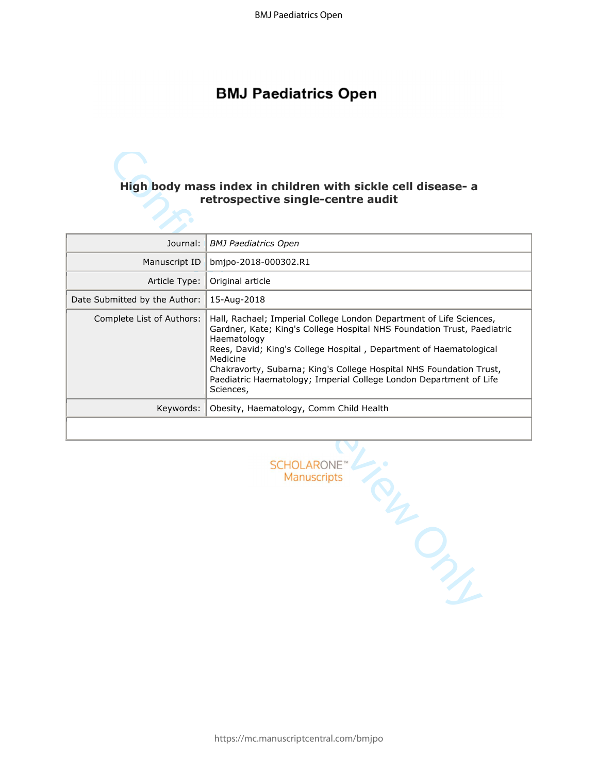# **BMJ Paediatrics Open**

# **retrospective single-centre audit**

|                                                      | High body mass index in children with sickle cell disease- a<br>retrospective single-centre audit                                                                                                                                                                                                                                                                                                         |  |
|------------------------------------------------------|-----------------------------------------------------------------------------------------------------------------------------------------------------------------------------------------------------------------------------------------------------------------------------------------------------------------------------------------------------------------------------------------------------------|--|
| Journal:                                             | <b>BMJ Paediatrics Open</b>                                                                                                                                                                                                                                                                                                                                                                               |  |
| Manuscript ID                                        | bmjpo-2018-000302.R1                                                                                                                                                                                                                                                                                                                                                                                      |  |
| Article Type:                                        | Original article                                                                                                                                                                                                                                                                                                                                                                                          |  |
| Date Submitted by the Author:                        | 15-Aug-2018                                                                                                                                                                                                                                                                                                                                                                                               |  |
| Complete List of Authors:                            | Hall, Rachael; Imperial College London Department of Life Sciences,<br>Gardner, Kate; King's College Hospital NHS Foundation Trust, Paediatric<br>Haematology<br>Rees, David; King's College Hospital, Department of Haematological<br>Medicine<br>Chakravorty, Subarna; King's College Hospital NHS Foundation Trust,<br>Paediatric Haematology; Imperial College London Department of Life<br>Sciences, |  |
| Keywords:<br>Obesity, Haematology, Comm Child Health |                                                                                                                                                                                                                                                                                                                                                                                                           |  |
|                                                      | SCHOLARONE™<br>Manuscripts<br>RI<br>$\mathcal{P}_{\mathcal{F}_{\mathcal{F}}}$                                                                                                                                                                                                                                                                                                                             |  |

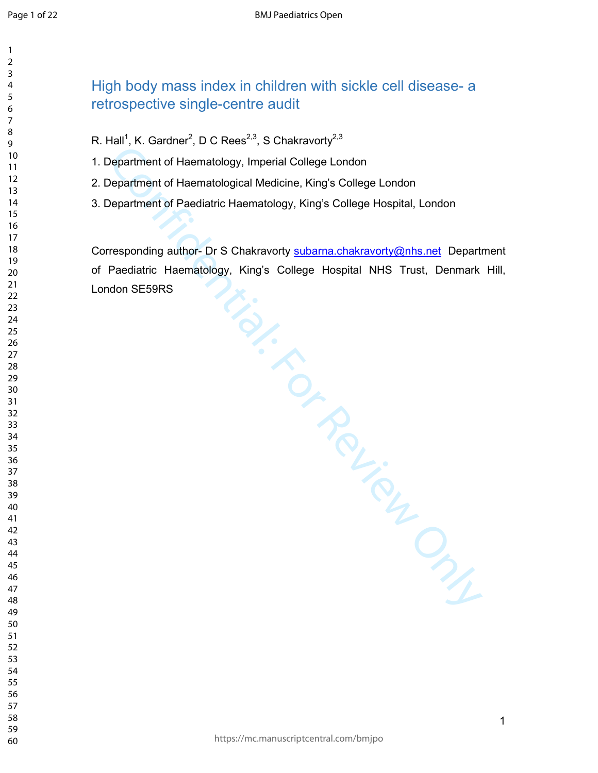#### High body mass index in children with sickle cell disease- a

# retrospective single-centre audit

- R. Hall<sup>1</sup>, K. Gardner<sup>2</sup>, D C Rees<sup>2,3</sup>, S Chakravorty<sup>2,3</sup>
- 1. Department of Haematology, Imperial College London
- 2. Department of Haematological Medicine, King's College London
- 3. Department of Paediatric Haematology, King's College Hospital, London

Experiment of Hearmatology, Imperial College London<br>Department of Hearmatological Medicine, King's College London<br>Pepartment of Hearmatological Medicine, King's College London<br>Pepartment of Paediatric Haematology, King's C Corresponding author- Dr S Chakravorty subarna.chakravorty@nhs.net Department of Paediatric Haematology, King's College Hospital NHS Trust, Denmark Hill, London SE59RS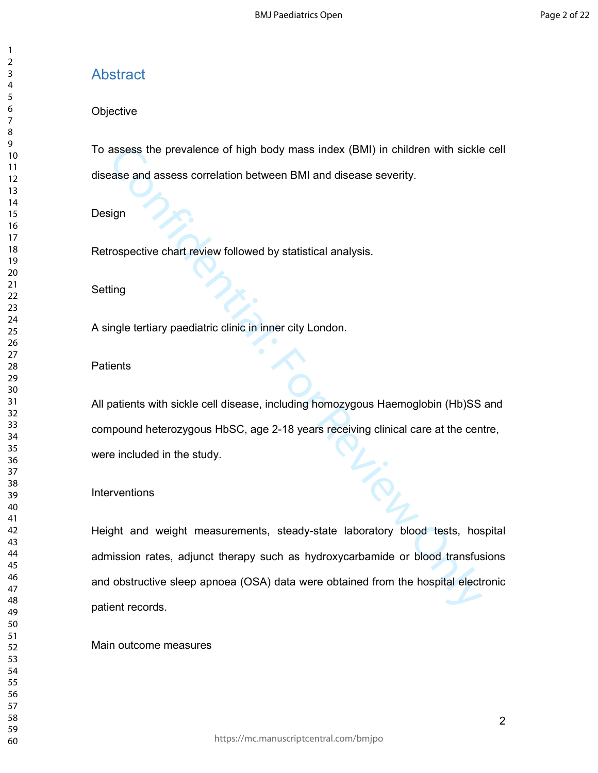# Abstract

#### **Objective**

To assess the prevalence of high body mass index (BMI) in children with sickle cell disease and assess correlation between BMI and disease severity.

#### Design

Retrospective chart review followed by statistical analysis.

#### Setting

A single tertiary paediatric clinic in inner city London.

#### **Patients**

All patients with sickle cell disease, including homozygous Haemoglobin (Hb)SS and compound heterozygous HbSC, age 2-18 years receiving clinical care at the centre, were included in the study.

#### **Interventions**

assess the prevalence of high body mass index (BMI) in children with sickle<br>ase and assess correlation between BMI and disease severity.<br>
sign<br>
rospective chart review followed by statistical analysis.<br>
rospective chart re Height and weight measurements, steady-state laboratory blood tests, hospital admission rates, adjunct therapy such as hydroxycarbamide or blood transfusions and obstructive sleep apnoea (OSA) data were obtained from the hospital electronic patient records.

#### Main outcome measures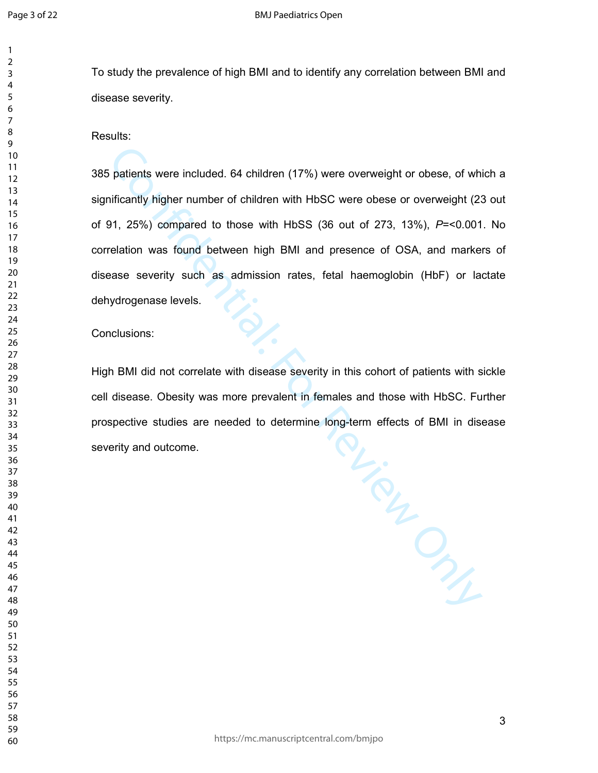To study the prevalence of high BMI and to identify any correlation between BMI and disease severity.

Results:

385 patients were included. 64 children (17%) were overweight or obese, of which a significantly higher number of children with HbSC were obese or overweight (23 out of 91, 25%) compared to those with HbSS (36 out of 273, 13%), *P*=<0.001. No correlation was found between high BMI and presence of OSA, and markers of disease severity such as admission rates, fetal haemoglobin (HbF) or lactate dehydrogenase levels.

Conclusions:

For Allie disease severity in this cohort of patients with sicknore prevalent in females and those with HbSC. Furtheeded to determine long-term effects of BMI in disease High BMI did not correlate with disease severity in this cohort of patients with sickle cell disease. Obesity was more prevalent in females and those with HbSC. Further prospective studies are needed to determine long-term effects of BMI in disease severity and outcome.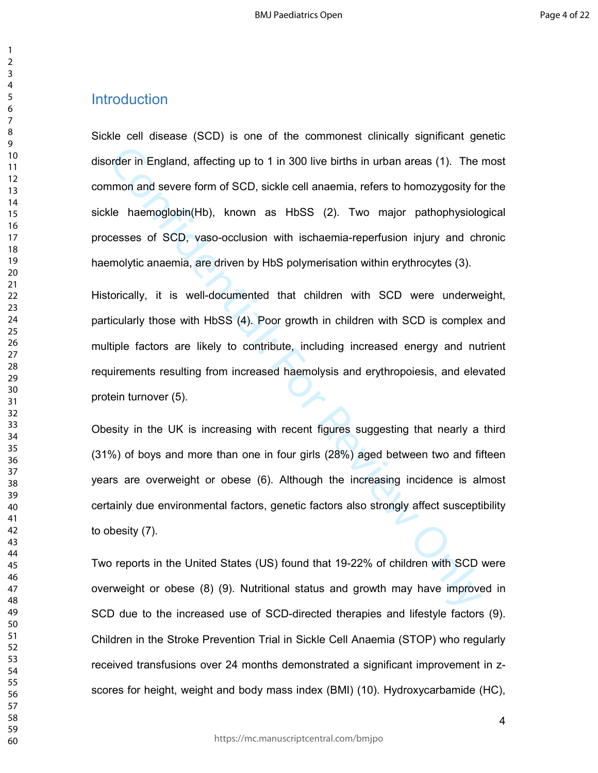# Introduction

order in England, affecting up to 1 in 300 live births in urban areas (1). The inmon and severe form of SCD, sickle cell anaemia, refers to homozygosity for the haemoglobin(Hb), known as HbSS (2). Two major pathophysiolo c Sickle cell disease (SCD) is one of the commonest clinically significant genetic disorder in England, affecting up to 1 in 300 live births in urban areas (1). The most common and severe form of SCD, sickle cell anaemia, refers to homozygosity for the sickle haemoglobin(Hb), known as HbSS (2). Two major pathophysiological processes of SCD, vaso-occlusion with ischaemia-reperfusion injury and chronic haemolytic anaemia, are driven by HbS polymerisation within erythrocytes (3).

Historically, it is well-documented that children with SCD were underweight, particularly those with HbSS (4). Poor growth in children with SCD is complex and multiple factors are likely to contribute, including increased energy and nutrient requirements resulting from increased haemolysis and erythropoiesis, and elevated protein turnover (5).

Obesity in the UK is increasing with recent figures suggesting that nearly a third (31%) of boys and more than one in four girls (28%) aged between two and fifteen years are overweight or obese (6). Although the increasing incidence is almost certainly due environmental factors, genetic factors also strongly affect susceptibility to obesity (7).

Two reports in the United States (US) found that 19-22% of children with SCD were overweight or obese (8) (9). Nutritional status and growth may have improved in SCD due to the increased use of SCD-directed therapies and lifestyle factors (9). Children in the Stroke Prevention Trial in Sickle Cell Anaemia (STOP) who regularly received transfusions over 24 months demonstrated a significant improvement in zscores for height, weight and body mass index (BMI) (10). Hydroxycarbamide (HC),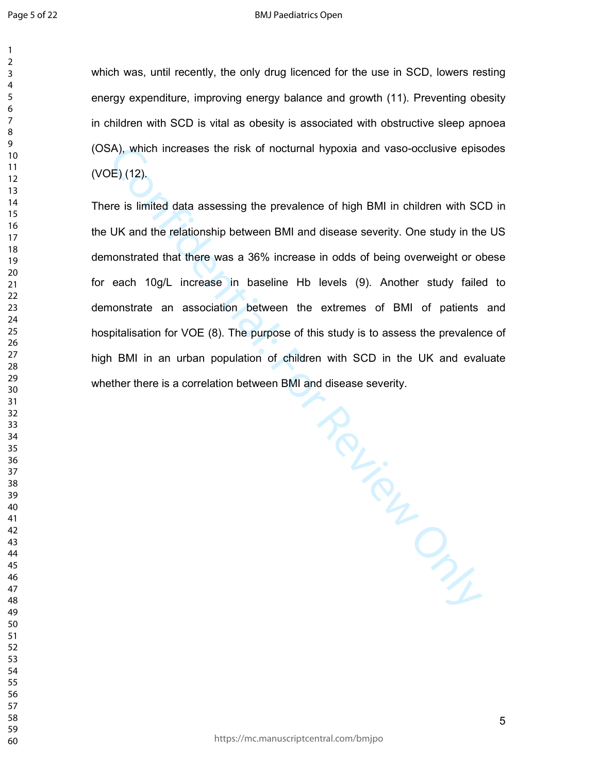which was, until recently, the only drug licenced for the use in SCD, lowers resting energy expenditure, improving energy balance and growth (11). Preventing obesity in children with SCD is vital as obesity is associated with obstructive sleep apnoea (OSA), which increases the risk of nocturnal hypoxia and vaso-occlusive episodes (VOE) (12).

Confidential: For Review Only There is limited data assessing the prevalence of high BMI in children with SCD in the UK and the relationship between BMI and disease severity. One study in the US demonstrated that there was a 36% increase in odds of being overweight or obese for each 10g/L increase in baseline Hb levels (9). Another study failed to demonstrate an association between the extremes of BMI of patients and hospitalisation for VOE (8). The purpose of this study is to assess the prevalence of high BMI in an urban population of children with SCD in the UK and evaluate whether there is a correlation between BMI and disease severity.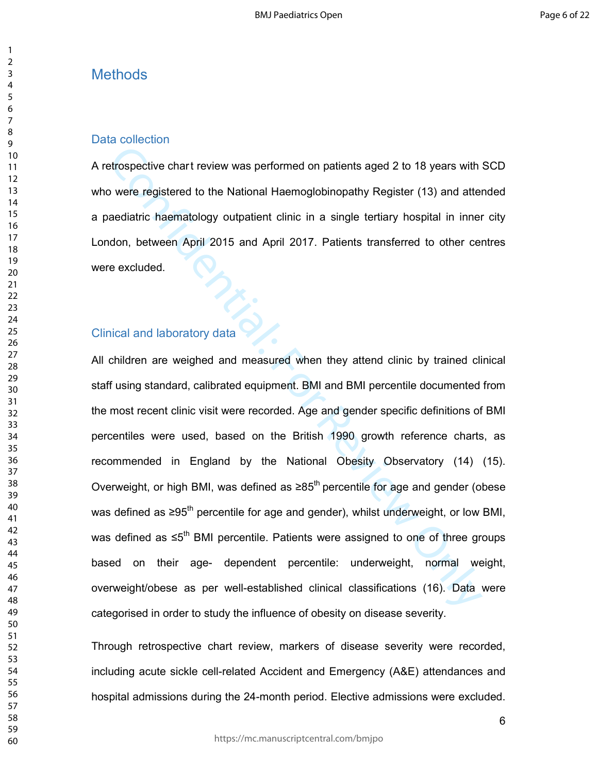# **Methods**

#### Data collection

A retrospective chart review was performed on patients aged 2 to 18 years with SCD who were registered to the National Haemoglobinopathy Register (13) and attended a paediatric haematology outpatient clinic in a single tertiary hospital in inner city London, between April 2015 and April 2017. Patients transferred to other centres were excluded.

# Clinical and laboratory data

etrospective chart review was performed on patients aged 2 to 18 years with<br>the were registered to the National Haemoglobinopathy Register (13) and atter<br>aediatric haematology outpatient clinic in a single tertiary hospi All children are weighed and measured when they attend clinic by trained clinical staff using standard, calibrated equipment. BMI and BMI percentile documented from the most recent clinic visit were recorded. Age and gender specific definitions of BMI percentiles were used, based on the British 1990 growth reference charts, as recommended in England by the National Obesity Observatory (14) (15). Overweight, or high BMI, was defined as ≥85<sup>th</sup> percentile for age and gender (obese was defined as ≥95<sup>th</sup> percentile for age and gender), whilst underweight, or low BMI, was defined as ≤5<sup>th</sup> BMI percentile. Patients were assigned to one of three groups based on their age- dependent percentile: underweight, normal weight, overweight/obese as per well-established clinical classifications (16). Data were categorised in order to study the influence of obesity on disease severity.

Through retrospective chart review, markers of disease severity were recorded, including acute sickle cell-related Accident and Emergency (A&E) attendances and hospital admissions during the 24-month period. Elective admissions were excluded.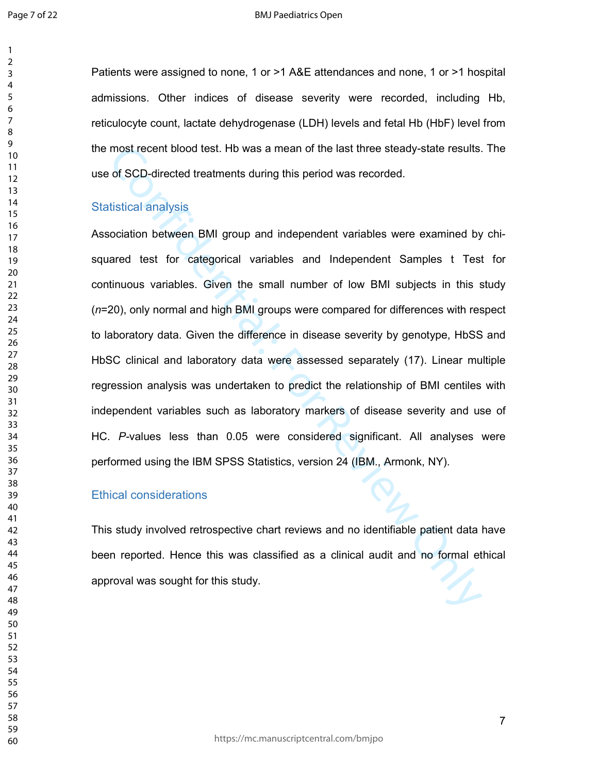Patients were assigned to none, 1 or >1 A&E attendances and none, 1 or >1 hospital admissions. Other indices of disease severity were recorded, including Hb, reticulocyte count, lactate dehydrogenase (LDH) levels and fetal Hb (HbF) level from the most recent blood test. Hb was a mean of the last three steady-state results. The use of SCD-directed treatments during this period was recorded. Statistical analysis Association between BMI group and independent variables were examined by chi-

most recent blood test. Hb was a mean of the last three steady-state results.<br>
of SCD-directed treatments during this period was recorded.<br>
tistical analysis<br>
tistical analysis<br>
cociation between BMI group and independent squared test for categorical variables and Independent Samples t Test for continuous variables. Given the small number of low BMI subjects in this study (*n*=20), only normal and high BMI groups were compared for differences with respect to laboratory data. Given the difference in disease severity by genotype, HbSS and HbSC clinical and laboratory data were assessed separately (17). Linear multiple regression analysis was undertaken to predict the relationship of BMI centiles with independent variables such as laboratory markers of disease severity and use of HC. *P-*values less than 0.05 were considered significant. All analyses were performed using the IBM SPSS Statistics, version 24 (IBM., Armonk, NY).

#### Ethical considerations

This study involved retrospective chart reviews and no identifiable patient data have been reported. Hence this was classified as a clinical audit and no formal ethical approval was sought for this study.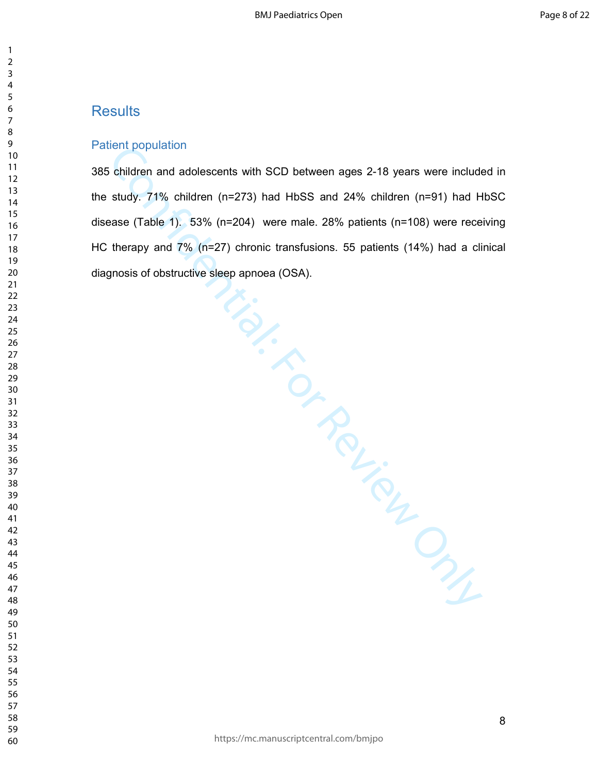# **Results**

#### Patient population

entripopulation<br>
children and adolescents with SCD between ages 2-18 years were include<br>
study. 71% children (n=273) had HbSS and 24% children (n=91) had H<br>
state (Table 1). 53% (n=204) were male. 28% patients (n=108) were 385 children and adolescents with SCD between ages 2-18 years were included in the study. 71% children (n=273) had HbSS and 24% children (n=91) had HbSC disease (Table 1). 53% (n=204) were male. 28% patients (n=108) were receiving HC therapy and 7% (n=27) chronic transfusions. 55 patients (14%) had a clinical diagnosis of obstructive sleep apnoea (OSA).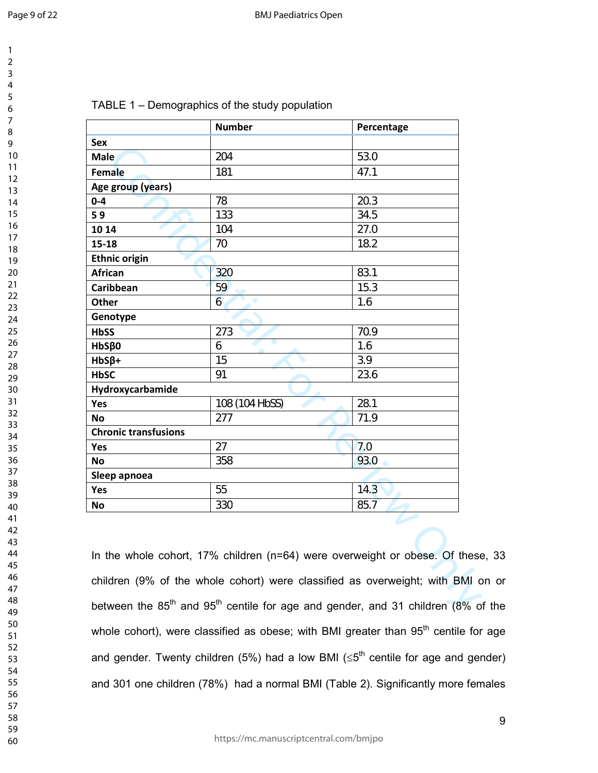| 1<br>$\overline{c}$                  |  |
|--------------------------------------|--|
| 3                                    |  |
| 4<br>5                               |  |
| 6<br>7                               |  |
| 8                                    |  |
| 9                                    |  |
| 10                                   |  |
|                                      |  |
| 11<br>12<br>13<br>14                 |  |
| 15                                   |  |
| 16<br>17                             |  |
| 18                                   |  |
| 19<br>20                             |  |
|                                      |  |
|                                      |  |
| $21$<br>$22$<br>$23$<br>$24$<br>$25$ |  |
|                                      |  |
|                                      |  |
| 26<br>27<br>28<br>29                 |  |
| 30                                   |  |
| 31<br>32<br>33                       |  |
|                                      |  |
| $\frac{34}{5}$<br>35                 |  |
| $\overline{\text{}}\text{6}$         |  |
| 27<br>38                             |  |
| 39                                   |  |
| 40<br>41                             |  |
| 42                                   |  |
| 43<br>44                             |  |
| 45                                   |  |
| 46<br>47                             |  |
| 48                                   |  |
| 49<br>50                             |  |
| 51                                   |  |
| 52<br>53                             |  |
| 54                                   |  |
| 55<br>56                             |  |
| 57                                   |  |
| 58<br>ξ                              |  |

#### TABLE 1 – Demographics of the study population

|                             | <b>Number</b>                                                                                        | Percentage |
|-----------------------------|------------------------------------------------------------------------------------------------------|------------|
| <b>Sex</b>                  |                                                                                                      |            |
| <b>Male</b>                 |                                                                                                      |            |
| Female                      |                                                                                                      |            |
| Age group (years)           |                                                                                                      |            |
| $0 - 4$                     |                                                                                                      |            |
| 59                          |                                                                                                      |            |
| 10 14                       |                                                                                                      |            |
| $15 - 18$                   |                                                                                                      |            |
| <b>Ethnic origin</b>        |                                                                                                      |            |
| <b>African</b>              |                                                                                                      |            |
| Caribbean                   |                                                                                                      |            |
| Other                       | ۰                                                                                                    |            |
| Genotype                    |                                                                                                      |            |
| <b>HbSS</b>                 |                                                                                                      |            |
| $HbS\beta0$                 |                                                                                                      |            |
| $HbS\beta+$                 |                                                                                                      |            |
| <b>HbSC</b>                 |                                                                                                      |            |
| Hydroxycarbamide            |                                                                                                      |            |
| Yes                         |                                                                                                      |            |
| No                          |                                                                                                      |            |
| <b>Chronic transfusions</b> |                                                                                                      |            |
| Yes                         |                                                                                                      |            |
| No                          |                                                                                                      |            |
| Sleep apnoea                |                                                                                                      |            |
| Yes                         |                                                                                                      |            |
| <b>No</b>                   |                                                                                                      |            |
|                             | In the whole cohort, 17% children (n=64) were overweight or obese. Of these                          |            |
|                             | children (9% of the whole cohort) were classified as overweight; with BMI c                          |            |
|                             | between the 85 <sup>th</sup> and 95 <sup>th</sup> centile for age and gender, and 31 children (8% of |            |

In the whole cohort, 17% children (n=64) were overweight or obese. Of these, 33 children (9% of the whole cohort) were classified as overweight; with BMI on or between the  $85<sup>th</sup>$  and  $95<sup>th</sup>$  centile for age and gender, and 31 children (8% of the whole cohort), were classified as obese; with BMI greater than  $95<sup>th</sup>$  centile for age and gender. Twenty children (5%) had a low BMI ( $\leq 5^{\text{th}}$  centile for age and gender) and 301 one children (78%) had a normal BMI (Table 2). Significantly more females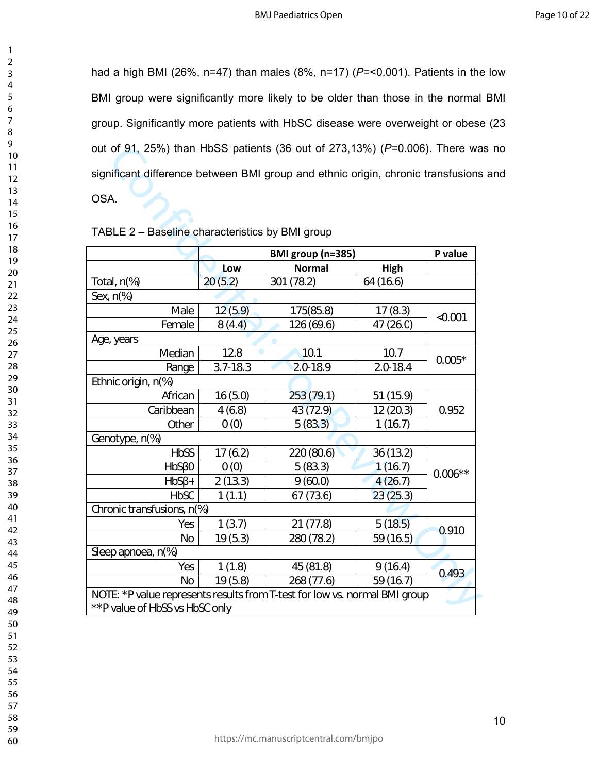had a high BMI (26%, n=47) than males (8%, n=17) (*P*=<0.001). Patients in the low BMI group were significantly more likely to be older than those in the normal BMI group. Significantly more patients with HbSC disease were overweight or obese (23 out of 91, 25%) than HbSS patients (36 out of 273,13%) (*P*=0.006). There was no significant difference between BMI group and ethnic origin, chronic transfusions and OSA.

| out of 91, 25%) than HbSS patients (36 out of 273,13%) (P=0.006). There wa       |     |                                    |             |         |
|----------------------------------------------------------------------------------|-----|------------------------------------|-------------|---------|
| significant difference between BMI group and ethnic origin, chronic transfusions |     |                                    |             |         |
| OSA.                                                                             |     |                                    |             |         |
|                                                                                  |     |                                    |             |         |
| TABLE 2 - Baseline characteristics by BMI group                                  |     |                                    |             |         |
|                                                                                  |     |                                    |             |         |
|                                                                                  | Low | BMI group (n=385)<br><b>Normal</b> | <b>High</b> | P value |
|                                                                                  |     |                                    |             |         |
|                                                                                  |     |                                    |             |         |
|                                                                                  |     |                                    |             |         |
|                                                                                  |     |                                    |             |         |
|                                                                                  |     |                                    |             |         |
|                                                                                  |     |                                    |             |         |
|                                                                                  |     |                                    |             |         |
|                                                                                  |     |                                    |             |         |
|                                                                                  |     |                                    |             |         |
|                                                                                  |     |                                    |             |         |
|                                                                                  |     |                                    |             |         |
|                                                                                  |     |                                    |             |         |
|                                                                                  |     |                                    |             |         |
|                                                                                  |     |                                    |             |         |
|                                                                                  |     |                                    |             |         |
|                                                                                  |     |                                    |             |         |
|                                                                                  |     |                                    |             |         |
|                                                                                  |     |                                    |             |         |
|                                                                                  |     |                                    |             |         |
|                                                                                  |     |                                    |             |         |

#### TABLE 2 – Baseline characteristics by BMI group

- 
- 
-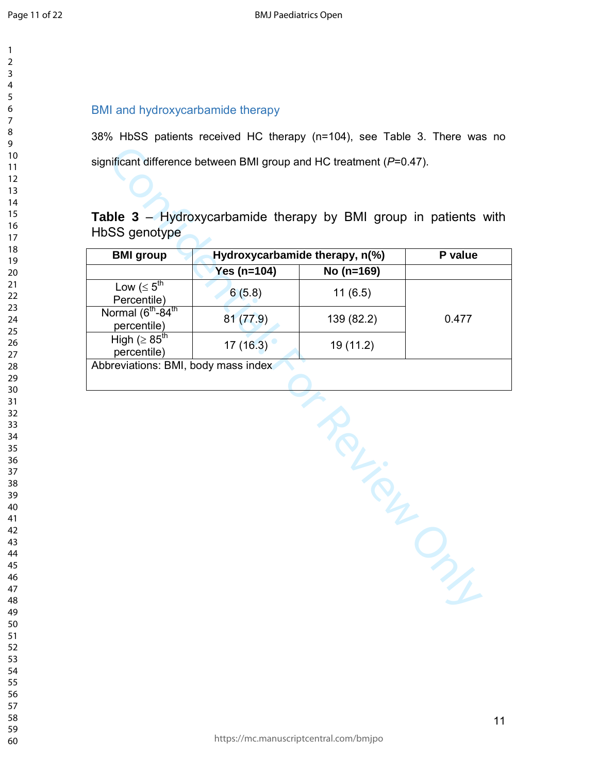# BMI and hydroxycarbamide therapy

38% HbSS patients received HC therapy (n=104), see Table 3. There was no significant difference between BMI group and HC treatment (*P*=0.47).

# **Table 3** – Hydroxycarbamide therapy by BMI group in patients with HbSS genotype

|                                     | P value    |                                |
|-------------------------------------|------------|--------------------------------|
| Yes ( $n=104$ )                     | No (n=169) |                                |
| 6(5.8)                              | 11(6.5)    |                                |
| 81(77.9)                            | 139 (82.2) | 0.477                          |
| 17(16.3)                            | 19 (11.2)  |                                |
| Abbreviations: BMI, body mass index |            |                                |
|                                     |            |                                |
|                                     |            |                                |
|                                     |            | Hydroxycarbamide therapy, n(%) |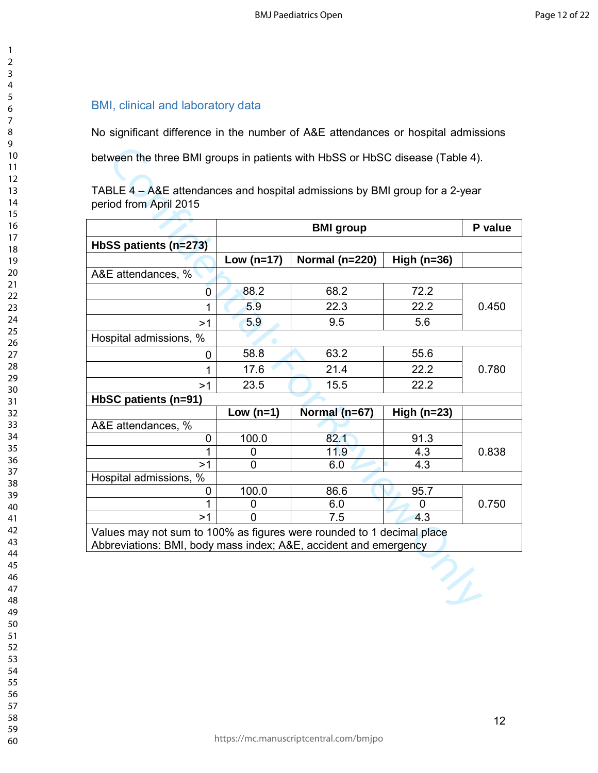## BMI, clinical and laboratory data

No significant difference in the number of A&E attendances or hospital admissions

|                                                                       |              | <b>BMI</b> group   |               | P value |  |
|-----------------------------------------------------------------------|--------------|--------------------|---------------|---------|--|
| HbSS patients (n=273)                                                 |              |                    |               |         |  |
|                                                                       | Low $(n=17)$ | Normal ( $n=220$ ) | High $(n=36)$ |         |  |
| A&E attendances, %                                                    |              |                    |               |         |  |
| 0                                                                     | 88.2         | 68.2               | 72.2          |         |  |
| 1                                                                     | 5.9          | 22.3               | 22.2          | 0.450   |  |
| >1                                                                    | 5.9          | 9.5                | 5.6           |         |  |
| Hospital admissions, %                                                |              |                    |               |         |  |
| 0                                                                     | 58.8         | 63.2               | 55.6          |         |  |
| $\overline{1}$                                                        | 17.6         | 21.4               | 22.2          | 0.780   |  |
| >1                                                                    | 23.5         | 15.5               | 22.2          |         |  |
| HbSC patients (n=91)                                                  |              |                    |               |         |  |
|                                                                       | Low $(n=1)$  | Normal (n=67)      | High $(n=23)$ |         |  |
| A&E attendances, %                                                    |              |                    |               |         |  |
| 0                                                                     | 100.0        | 82.1               | 91.3          |         |  |
| 1                                                                     | 0            | 11.9               | 4.3           | 0.838   |  |
| >1                                                                    | $\Omega$     | 6.0                | 4.3           |         |  |
| Hospital admissions, %                                                |              |                    |               |         |  |
| 0                                                                     | 100.0        | 86.6               | 95.7          |         |  |
| 1                                                                     | 0            | 6.0                | 0             | 0.750   |  |
| >1                                                                    | 0            | 7.5                | 4.3           |         |  |
|                                                                       |              |                    |               |         |  |
| Values may not sum to 100% as figures were rounded to 1 decimal place |              |                    |               |         |  |

https://mc.manuscriptcentral.com/bmjpo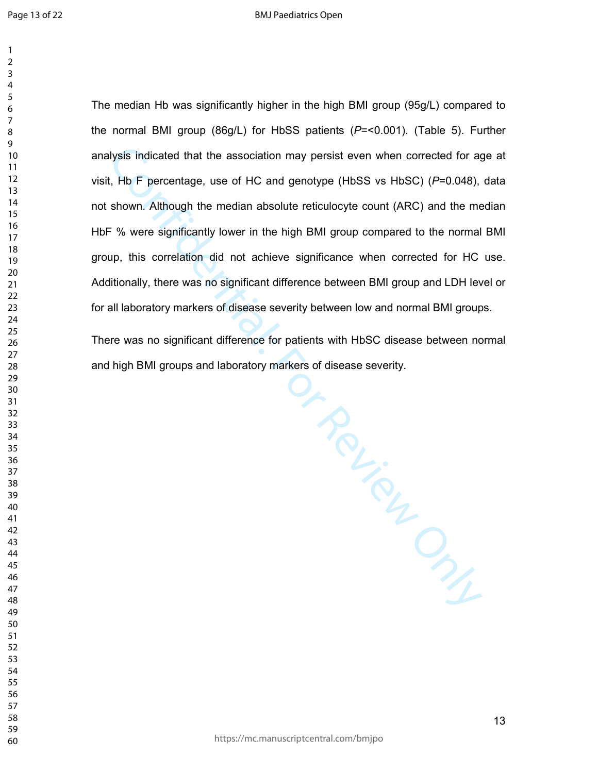The median Hb was significantly higher in the high BMI group (95g/L) compared to the normal BMI group (86g/L) for HbSS patients (*P*=<0.001). (Table 5). Further analysis indicated that the association may persist even when corrected for age at visit, Hb F percentage, use of HC and genotype (HbSS vs HbSC) (*P*=0.048), data not shown. Although the median absolute reticulocyte count (ARC) and the median HbF % were significantly lower in the high BMI group compared to the normal BMI group, this correlation did not achieve significance when corrected for HC use. Additionally, there was no significant difference between BMI group and LDH level or for all laboratory markers of disease severity between low and normal BMI groups.

markers u. .<br>Processes ... There was no significant difference for patients with HbSC disease between normal and high BMI groups and laboratory markers of disease severity.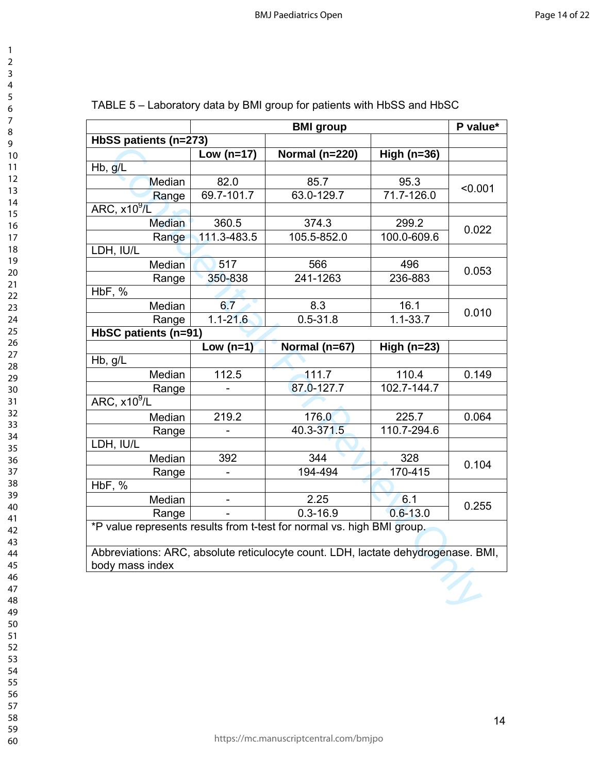| 3                         |  |
|---------------------------|--|
| 4                         |  |
| 5                         |  |
|                           |  |
| 6                         |  |
| 7                         |  |
| 8                         |  |
| 9                         |  |
| 10                        |  |
| 1<br>1                    |  |
|                           |  |
| $\overline{c}$<br>1       |  |
| 3<br>1                    |  |
| 14                        |  |
| 15                        |  |
| 16                        |  |
|                           |  |
| 17                        |  |
| 18                        |  |
| 19                        |  |
| 20                        |  |
| $\overline{21}$           |  |
| $\overline{2}$            |  |
| 23                        |  |
|                           |  |
| 24                        |  |
| 25                        |  |
| 26                        |  |
| 27                        |  |
| 28                        |  |
| 29                        |  |
|                           |  |
| 30                        |  |
| 31                        |  |
| 32                        |  |
| 33                        |  |
| 34                        |  |
| 35                        |  |
|                           |  |
| 36                        |  |
| 37                        |  |
| 38                        |  |
| 39                        |  |
| $\ddagger$<br>$\mathbf 0$ |  |
| 41                        |  |
|                           |  |
| 42                        |  |
| 43                        |  |
| 44                        |  |
| 45                        |  |
| 46                        |  |
| 47                        |  |
| 48                        |  |
|                           |  |
| 49                        |  |
| 50                        |  |
| 51                        |  |
| 52                        |  |
| 53                        |  |
|                           |  |
| 54                        |  |
| 55                        |  |
| 56                        |  |
| 57                        |  |
| 58                        |  |
| 59<br>C                   |  |
|                           |  |

| <b>BMI</b> group      |                                                                                   |                                                                        | P value*      |         |  |
|-----------------------|-----------------------------------------------------------------------------------|------------------------------------------------------------------------|---------------|---------|--|
| HbSS patients (n=273) |                                                                                   |                                                                        |               |         |  |
|                       | Low ( $n=17$ )                                                                    | Normal (n=220)                                                         | High $(n=36)$ |         |  |
| Hb, g/L               |                                                                                   |                                                                        |               |         |  |
| Median                | 82.0                                                                              | 85.7                                                                   | 95.3          | < 0.001 |  |
| Range                 | 69.7-101.7                                                                        | 63.0-129.7                                                             | 71.7-126.0    |         |  |
| ARC, $x10^9$ /L       |                                                                                   |                                                                        |               |         |  |
| <b>Median</b>         | 360.5                                                                             | 374.3                                                                  | 299.2         |         |  |
| Range                 | 111.3-483.5                                                                       | 105.5-852.0                                                            | 100.0-609.6   | 0.022   |  |
| LDH, IU/L             |                                                                                   |                                                                        |               |         |  |
| Median                | 517                                                                               | 566                                                                    | 496           |         |  |
| Range                 | 350-838                                                                           | 241-1263                                                               | 236-883       | 0.053   |  |
| $H\overline{DF, %}$   |                                                                                   |                                                                        |               |         |  |
| Median                | 6.7                                                                               | 8.3                                                                    | 16.1          |         |  |
| Range                 | $1.1 - 21.6$                                                                      | $0.5 - 31.8$                                                           | $1.1 - 33.7$  | 0.010   |  |
| HbSC patients (n=91)  |                                                                                   |                                                                        |               |         |  |
|                       | Low $(n=1)$                                                                       | Normal (n=67)                                                          | High $(n=23)$ |         |  |
| Hb, g/L               |                                                                                   |                                                                        |               |         |  |
| Median                | 112.5                                                                             | 111.7                                                                  | 110.4         | 0.149   |  |
| Range                 |                                                                                   | 87.0-127.7                                                             | 102.7-144.7   |         |  |
| ARC, $x10^9$ /L       |                                                                                   |                                                                        |               |         |  |
| Median                | 219.2                                                                             | 176.0                                                                  | 225.7         | 0.064   |  |
| Range                 |                                                                                   | 40.3-371.5                                                             | 110.7-294.6   |         |  |
| LDH, IU/L             |                                                                                   |                                                                        |               |         |  |
| Median                | 392                                                                               | 344                                                                    | 328           |         |  |
| Range                 |                                                                                   | 194-494                                                                | 170-415       | 0.104   |  |
| HbF, %                |                                                                                   |                                                                        |               |         |  |
| Median                |                                                                                   | 2.25                                                                   | 6.1           | 0.255   |  |
| Range                 |                                                                                   | $0.3 - 16.9$                                                           | $0.6 - 13.0$  |         |  |
|                       |                                                                                   | *P value represents results from t-test for normal vs. high BMI group. |               |         |  |
|                       | Abbreviations: ARC, absolute reticulocyte count. LDH, lactate dehydrogenase. BMI, |                                                                        |               |         |  |
| body mass index       |                                                                                   |                                                                        |               |         |  |
|                       |                                                                                   |                                                                        |               |         |  |
|                       |                                                                                   |                                                                        |               |         |  |
|                       |                                                                                   |                                                                        |               |         |  |

| TABLE 5 - Laboratory data by BMI group for patients with HbSS and HbSC |  |  |  |  |
|------------------------------------------------------------------------|--|--|--|--|
|------------------------------------------------------------------------|--|--|--|--|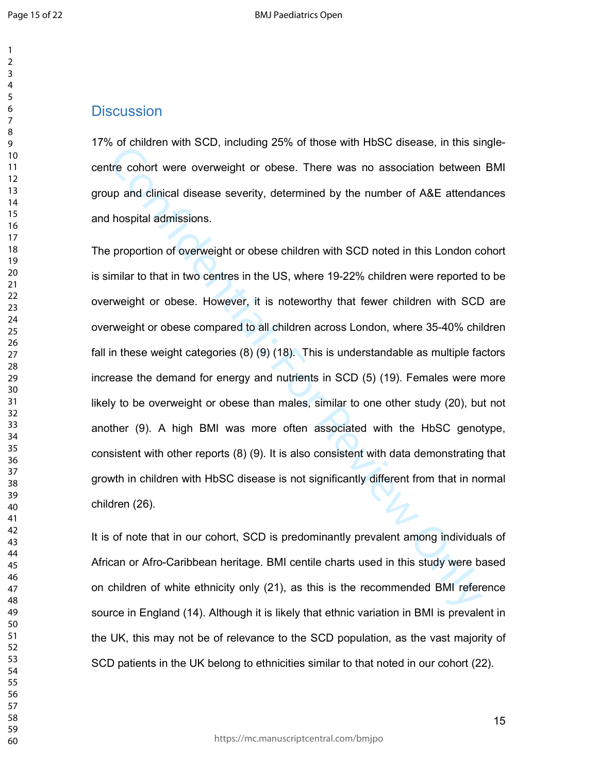# **Discussion**

17% of children with SCD, including 25% of those with HbSC disease, in this singlecentre cohort were overweight or obese. There was no association between BMI group and clinical disease severity, determined by the number of A&E attendances and hospital admissions.

of the confident with SOD, including 20% of those with host classese, in this shift econort were overweight or obese. There was no association between<br>the phy and clinical disease severity, determined by the number of A&E The proportion of overweight or obese children with SCD noted in this London cohort is similar to that in two centres in the US, where 19-22% children were reported to be overweight or obese. However, it is noteworthy that fewer children with SCD are overweight or obese compared to all children across London, where 35-40% children fall in these weight categories (8) (9) (18). This is understandable as multiple factors increase the demand for energy and nutrients in SCD (5) (19). Females were more likely to be overweight or obese than males, similar to one other study (20), but not another (9). A high BMI was more often associated with the HbSC genotype, consistent with other reports (8) (9). It is also consistent with data demonstrating that growth in children with HbSC disease is not significantly different from that in normal children (26).

It is of note that in our cohort, SCD is predominantly prevalent among individuals of African or Afro-Caribbean heritage. BMI centile charts used in this study were based on children of white ethnicity only (21), as this is the recommended BMI reference source in England (14). Although it is likely that ethnic variation in BMI is prevalent in the UK, this may not be of relevance to the SCD population, as the vast majority of SCD patients in the UK belong to ethnicities similar to that noted in our cohort (22).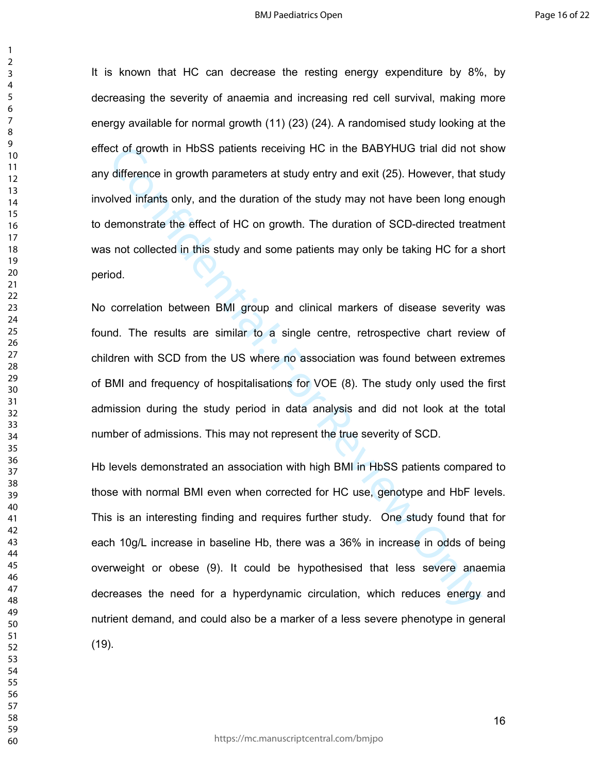It is known that HC can decrease the resting energy expenditure by 8%, by decreasing the severity of anaemia and increasing red cell survival, making more energy available for normal growth (11) (23) (24). A randomised study looking at the effect of growth in HbSS patients receiving HC in the BABYHUG trial did not show any difference in growth parameters at study entry and exit (25). However, that study involved infants only, and the duration of the study may not have been long enough to demonstrate the effect of HC on growth. The duration of SCD-directed treatment was not collected in this study and some patients may only be taking HC for a short period.

No correlation between BMI group and clinical markers of disease severity was found. The results are similar to a single centre, retrospective chart review of children with SCD from the US where no association was found between extremes of BMI and frequency of hospitalisations for VOE (8). The study only used the first admission during the study period in data analysis and did not look at the total number of admissions. This may not represent the true severity of SCD.

ict of growth in HbSS patients receiving HC in the BABYHUG trial did not s<br>difference in growth parameters at study entry and exit (25). However, that s<br>olved infants only, and the duration of the study may not have been l Hb levels demonstrated an association with high BMI in HbSS patients compared to those with normal BMI even when corrected for HC use, genotype and HbF levels. This is an interesting finding and requires further study. One study found that for each 10g/L increase in baseline Hb, there was a 36% in increase in odds of being overweight or obese (9). It could be hypothesised that less severe anaemia decreases the need for a hyperdynamic circulation, which reduces energy and nutrient demand, and could also be a marker of a less severe phenotype in general (19).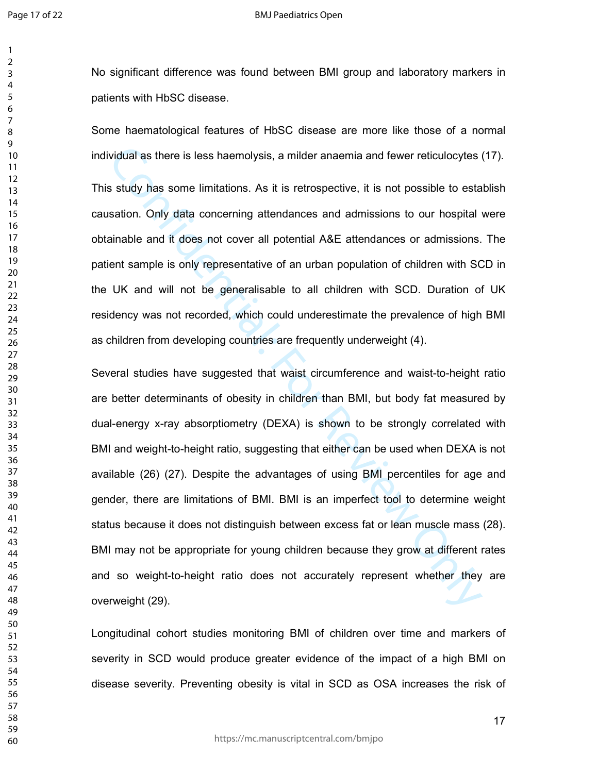No significant difference was found between BMI group and laboratory markers in patients with HbSC disease.

Some haematological features of HbSC disease are more like those of a normal individual as there is less haemolysis, a milder anaemia and fewer reticulocytes (17).

This study has some limitations. As it is retrospective, it is not possible to establish causation. Only data concerning attendances and admissions to our hospital were obtainable and it does not cover all potential A&E attendances or admissions. The patient sample is only representative of an urban population of children with SCD in the UK and will not be generalisable to all children with SCD. Duration of UK residency was not recorded, which could underestimate the prevalence of high BMI as children from developing countries are frequently underweight (4).

vidual as there is less haemolysis, a milder anaemia and fewer reticulocytes s study has some limitations. As it is retrospective, it is not possible to esta sation. Only data concerning attendances and admissions to our h Several studies have suggested that waist circumference and waist-to-height ratio are better determinants of obesity in children than BMI, but body fat measured by dual-energy x-ray absorptiometry (DEXA) is shown to be strongly correlated with BMI and weight-to-height ratio, suggesting that either can be used when DEXA is not available (26) (27). Despite the advantages of using BMI percentiles for age and gender, there are limitations of BMI. BMI is an imperfect tool to determine weight status because it does not distinguish between excess fat or lean muscle mass (28). BMI may not be appropriate for young children because they grow at different rates and so weight-to-height ratio does not accurately represent whether they are overweight (29).

Longitudinal cohort studies monitoring BMI of children over time and markers of severity in SCD would produce greater evidence of the impact of a high BMI on disease severity. Preventing obesity is vital in SCD as OSA increases the risk of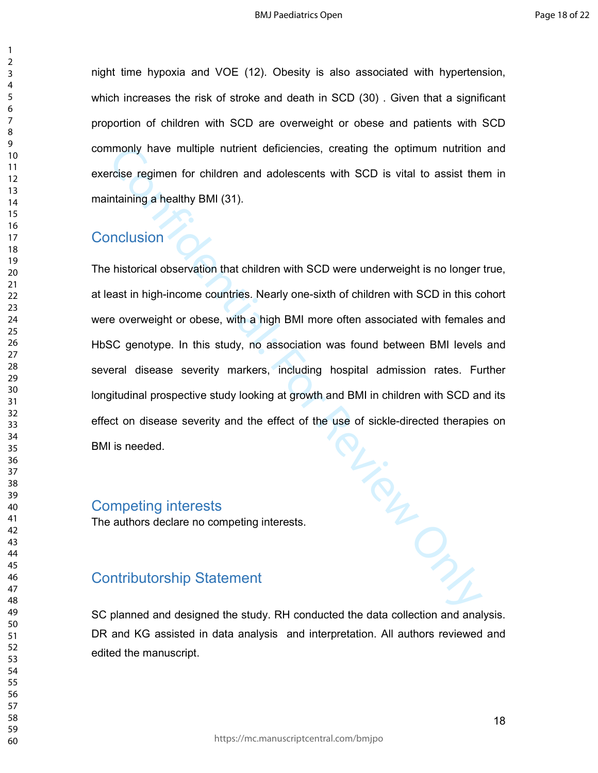night time hypoxia and VOE (12). Obesity is also associated with hypertension, which increases the risk of stroke and death in SCD (30) . Given that a significant proportion of children with SCD are overweight or obese and patients with SCD commonly have multiple nutrient deficiencies, creating the optimum nutrition and exercise regimen for children and adolescents with SCD is vital to assist them in maintaining a healthy BMI (31).

# **Conclusion**

of six<br>Contraction of Section arts The historical observation that children with SCD were underweight is no longer true, at least in high-income countries. Nearly one-sixth of children with SCD in this cohort were overweight or obese, with a high BMI more often associated with females and HbSC genotype. In this study, no association was found between BMI levels and several disease severity markers, including hospital admission rates. Further longitudinal prospective study looking at growth and BMI in children with SCD and its effect on disease severity and the effect of the use of sickle-directed therapies on BMI is needed.

#### Competing interests

The authors declare no competing interests.

# Contributorship Statement

SC planned and designed the study. RH conducted the data collection and analysis. DR and KG assisted in data analysis and interpretation. All authors reviewed and edited the manuscript.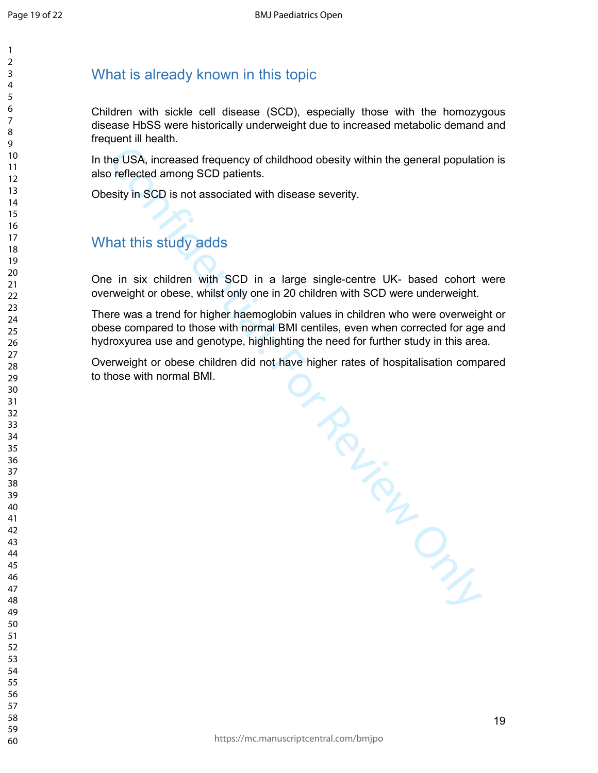# What is already known in this topic

Children with sickle cell disease (SCD), especially those with the homozygous disease HbSS were historically underweight due to increased metabolic demand and frequent ill health.

In the USA, increased frequency of childhood obesity within the general population is also reflected among SCD patients.

Obesity in SCD is not associated with disease severity.

# What this study adds

One in six children with SCD in a large single-centre UK- based cohort were overweight or obese, whilst only one in 20 children with SCD were underweight.

There was a trend for higher haemoglobin values in children who were overweight or obese compared to those with normal BMI centiles, even when corrected for age and hydroxyurea use and genotype, highlighting the need for further study in this area.

ave high.<br>Contraction Contraction Contraction Overweight or obese children did not have higher rates of hospitalisation compared to those with normal BMI.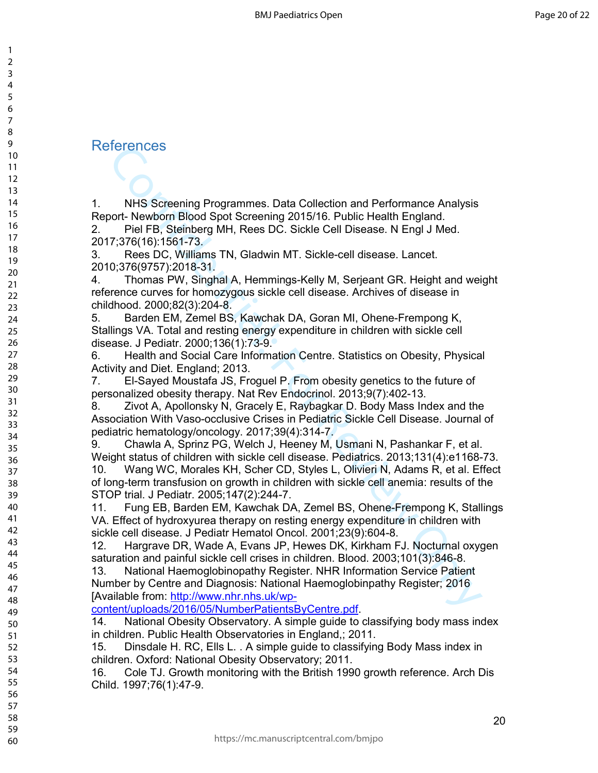# References

1. NHS Screening Programmes. Data Collection and Performance Analysis Report- Newborn Blood Spot Screening 2015/16. Public Health England.

2. Piel FB, Steinberg MH, Rees DC. Sickle Cell Disease. N Engl J Med. 2017;376(16):1561-73.

3. Rees DC, Williams TN, Gladwin MT. Sickle-cell disease. Lancet. 2010;376(9757):2018-31.

4. Thomas PW, Singhal A, Hemmings-Kelly M, Serjeant GR. Height and weight reference curves for homozygous sickle cell disease. Archives of disease in childhood. 2000;82(3):204-8.

5. Barden EM, Zemel BS, Kawchak DA, Goran MI, Ohene-Frempong K, Stallings VA. Total and resting energy expenditure in children with sickle cell disease. J Pediatr. 2000;136(1):73-9.

6. Health and Social Care Information Centre. Statistics on Obesity, Physical Activity and Diet. England; 2013.

7. El-Sayed Moustafa JS, Froguel P. From obesity genetics to the future of personalized obesity therapy. Nat Rev Endocrinol. 2013;9(7):402-13.

8. Zivot A, Apollonsky N, Gracely E, Raybagkar D. Body Mass Index and the Association With Vaso-occlusive Crises in Pediatric Sickle Cell Disease. Journal of pediatric hematology/oncology. 2017;39(4):314-7.

9. Chawla A, Sprinz PG, Welch J, Heeney M, Usmani N, Pashankar F, et al. Weight status of children with sickle cell disease. Pediatrics. 2013;131(4):e1168-73.

10. Wang WC, Morales KH, Scher CD, Styles L, Olivieri N, Adams R, et al. Effect of long-term transfusion on growth in children with sickle cell anemia: results of the STOP trial. J Pediatr. 2005;147(2):244-7.

11. Fung EB, Barden EM, Kawchak DA, Zemel BS, Ohene-Frempong K, Stallings VA. Effect of hydroxyurea therapy on resting energy expenditure in children with sickle cell disease. J Pediatr Hematol Oncol. 2001;23(9):604-8.

12. Hargrave DR, Wade A, Evans JP, Hewes DK, Kirkham FJ. Nocturnal oxygen saturation and painful sickle cell crises in children. Blood. 2003;101(3):846-8.

Terfencess<br>
NHS Screening Programmes. Data Collection and Performance Analysis<br>
NHS Screening Dod Spot Screening 2015/16. Public Health England.<br>
Piel FB, Steinberg MH, Rees DC. Sickle Cell Disease. N Engl J Med.<br>
7:376(16 13. National Haemoglobinopathy Register. NHR Information Service Patient Number by Centre and Diagnosis: National Haemoglobinpathy Register; 2016 [Available from: http://www.nhr.nhs.uk/wp-

#### content/uploads/2016/05/NumberPatientsByCentre.pdf.

14. National Obesity Observatory. A simple guide to classifying body mass index in children. Public Health Observatories in England,; 2011.

15. Dinsdale H. RC, Ells L. . A simple guide to classifying Body Mass index in children. Oxford: National Obesity Observatory; 2011.

16. Cole TJ. Growth monitoring with the British 1990 growth reference. Arch Dis Child. 1997;76(1):47-9.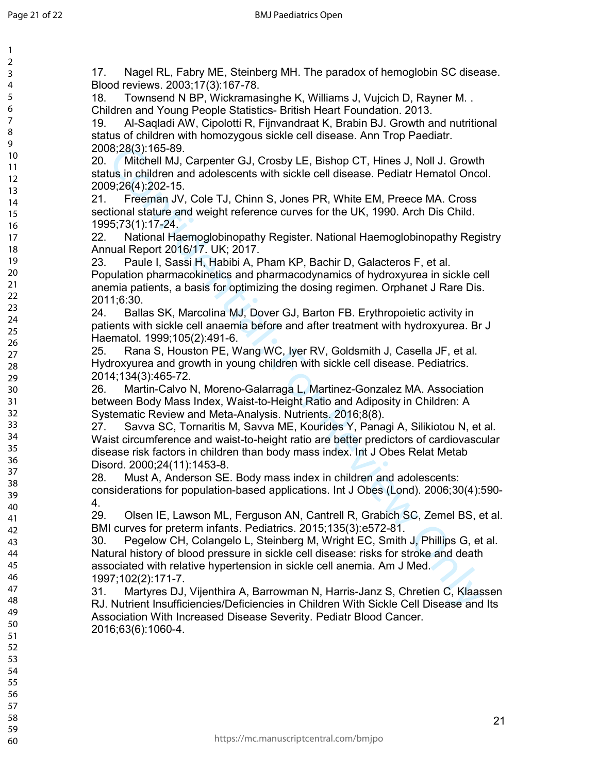3 4 5

7

60

B.2(3): 165-89.<br>
Mitchell MJ, Carpenter GJ, Crosby LE, Bishop CT, Hines J, Noll J. Growth<br>
2003(4):2021-15.<br>
Mitchell MJ, Carpenter GJ, Crosby LE, Bishop CT, Hines J, Noll J. Growth<br>
166, 2021-15.<br>
Freeman JV, Cole TJ, Chi 17. Nagel RL, Fabry ME, Steinberg MH. The paradox of hemoglobin SC disease. Blood reviews. 2003;17(3):167-78. 18. Townsend N BP, Wickramasinghe K, Williams J, Vujcich D, Rayner M. . Children and Young People Statistics- British Heart Foundation. 2013. 19. Al-Saqladi AW, Cipolotti R, Fijnvandraat K, Brabin BJ. Growth and nutritional status of children with homozygous sickle cell disease. Ann Trop Paediatr. 2008;28(3):165-89. 20. Mitchell MJ, Carpenter GJ, Crosby LE, Bishop CT, Hines J, Noll J. Growth status in children and adolescents with sickle cell disease. Pediatr Hematol Oncol. 2009;26(4):202-15. 21. Freeman JV, Cole TJ, Chinn S, Jones PR, White EM, Preece MA. Cross sectional stature and weight reference curves for the UK, 1990. Arch Dis Child. 1995;73(1):17-24. 22. National Haemoglobinopathy Register. National Haemoglobinopathy Registry Annual Report 2016/17. UK; 2017. 23. Paule I, Sassi H, Habibi A, Pham KP, Bachir D, Galacteros F, et al. Population pharmacokinetics and pharmacodynamics of hydroxyurea in sickle cell anemia patients, a basis for optimizing the dosing regimen. Orphanet J Rare Dis. 2011;6:30. 24. Ballas SK, Marcolina MJ, Dover GJ, Barton FB. Erythropoietic activity in patients with sickle cell anaemia before and after treatment with hydroxyurea. Br J Haematol. 1999;105(2):491-6. 25. Rana S, Houston PE, Wang WC, Iyer RV, Goldsmith J, Casella JF, et al. Hydroxyurea and growth in young children with sickle cell disease. Pediatrics. 2014;134(3):465-72. 26. Martin-Calvo N, Moreno-Galarraga L, Martinez-Gonzalez MA. Association between Body Mass Index, Waist-to-Height Ratio and Adiposity in Children: A Systematic Review and Meta-Analysis. Nutrients. 2016;8(8). 27. Savva SC, Tornaritis M, Savva ME, Kourides Y, Panagi A, Silikiotou N, et al. Waist circumference and waist-to-height ratio are better predictors of cardiovascular disease risk factors in children than body mass index. Int J Obes Relat Metab Disord. 2000;24(11):1453-8. 28. Must A, Anderson SE. Body mass index in children and adolescents: considerations for population-based applications. Int J Obes (Lond). 2006;30(4):590- 4. 29. Olsen IE, Lawson ML, Ferguson AN, Cantrell R, Grabich SC, Zemel BS, et al. BMI curves for preterm infants. Pediatrics. 2015;135(3):e572-81. 30. Pegelow CH, Colangelo L, Steinberg M, Wright EC, Smith J, Phillips G, et al. Natural history of blood pressure in sickle cell disease: risks for stroke and death associated with relative hypertension in sickle cell anemia. Am J Med. 1997;102(2):171-7. 31. Martyres DJ, Vijenthira A, Barrowman N, Harris-Janz S, Chretien C, Klaassen RJ. Nutrient Insufficiencies/Deficiencies in Children With Sickle Cell Disease and Its Association With Increased Disease Severity. Pediatr Blood Cancer. 2016;63(6):1060-4. 2 6 8 9 10 11 12 13 14 15 16 17 18 19 20 21 22 23 24 25 26 27 28 29 30 31 32 33 34 35 36 37 38 39 40 41 42 43 44 45 46 47 48 49 50 51 52 53 54 55 56 57 58 59